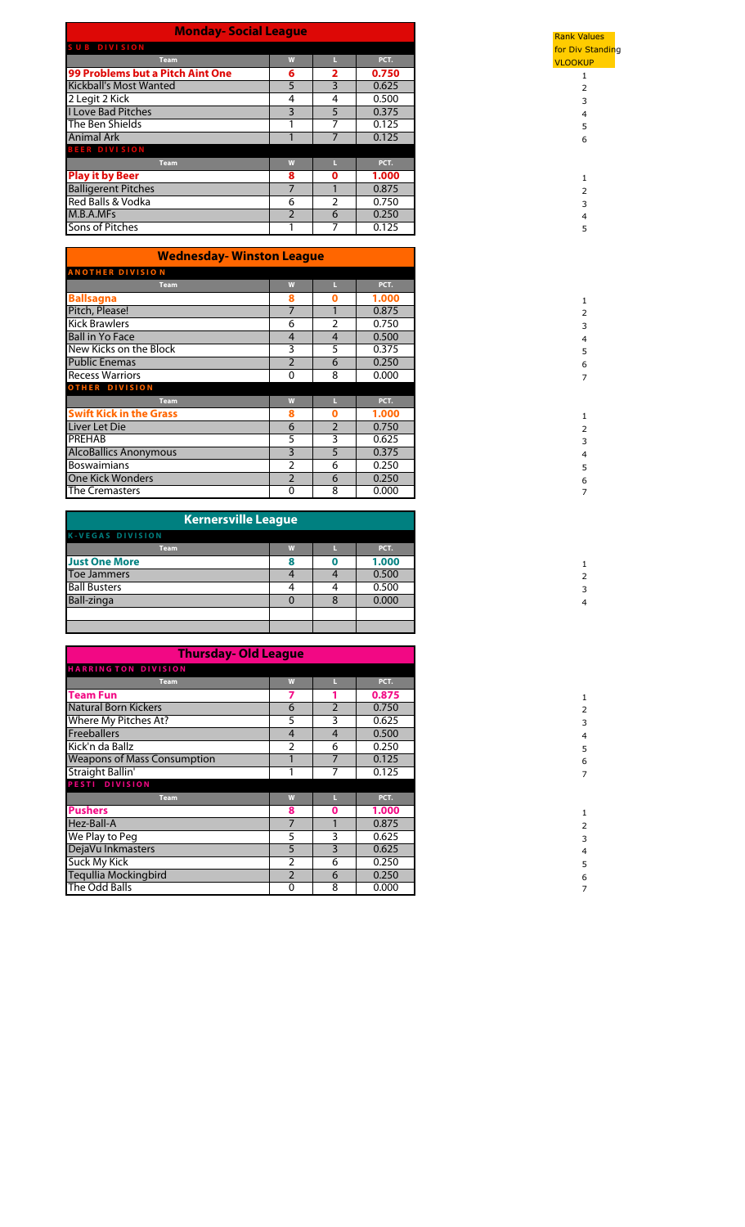| <b>Monday-Social League</b>      |               |               |       |  |  |  |  |  |
|----------------------------------|---------------|---------------|-------|--|--|--|--|--|
| SUB DIVISION                     |               |               |       |  |  |  |  |  |
| <b>Team</b>                      | W             |               | PCT.  |  |  |  |  |  |
| 99 Problems but a Pitch Aint One | 6             | 2             | 0.750 |  |  |  |  |  |
| <b>Kickball's Most Wanted</b>    | 5             | 3             | 0.625 |  |  |  |  |  |
| 2 Legit 2 Kick                   | 4             | 4             | 0.500 |  |  |  |  |  |
| <b>I Love Bad Pitches</b>        | 3             | 5             | 0.375 |  |  |  |  |  |
| The Ben Shields                  |               |               | 0.125 |  |  |  |  |  |
| <b>Animal Ark</b>                |               |               | 0.125 |  |  |  |  |  |
| <b>BEER DIVISION</b>             |               |               |       |  |  |  |  |  |
| <b>Team</b>                      | W             |               | PCT.  |  |  |  |  |  |
| <b>Play it by Beer</b>           | 8             | 0             | 1.000 |  |  |  |  |  |
| <b>Balligerent Pitches</b>       |               |               | 0.875 |  |  |  |  |  |
| Red Balls & Vodka                | 6             | $\mathcal{P}$ | 0.750 |  |  |  |  |  |
| M.B.A.MFs                        | $\mathcal{P}$ | 6             | 0.250 |  |  |  |  |  |
| Sons of Pitches                  |               |               | 0.125 |  |  |  |  |  |

| <b>Wednesday- Winston League</b> |                          |                |       |
|----------------------------------|--------------------------|----------------|-------|
| <b>ANOTHER DIVISION</b>          |                          |                |       |
| <b>Team</b>                      | W                        |                | PCT.  |
| <b>Ballsagna</b>                 | 8                        | Ω              | 1.000 |
| Pitch, Please!                   | 7                        |                | 0.875 |
| <b>Kick Brawlers</b>             | 6                        | C              | 0.750 |
| <b>Ball in Yo Face</b>           | 4                        | 4              | 0.500 |
| New Kicks on the Block           | 3                        | 5              | 0.375 |
| <b>Public Enemas</b>             | $\overline{2}$           | 6              | 0.250 |
| <b>Recess Warriors</b>           | 0                        | 8              | 0.000 |
| <b>OTHER DIVISION</b>            |                          |                |       |
| <b>Team</b>                      | W                        |                | PCT.  |
| <b>Swift Kick in the Grass</b>   | 8                        | $\bf{0}$       | 1.000 |
| Liver Let Die                    | 6                        | $\mathfrak{D}$ | 0.750 |
| <b>PREHAB</b>                    | 5                        | 3              | 0.625 |
| <b>AlcoBallics Anonymous</b>     | 3                        | 5              | 0.375 |
| <b>Boswaimians</b>               | $\mathcal{P}$            | 6              | 0.250 |
| <b>One Kick Wonders</b>          | $\overline{\phantom{a}}$ | 6              | 0.250 |
| The Cremasters                   | $\Omega$                 | 8              | 0.000 |

| <b>Kernersville League</b> |   |   |       |
|----------------------------|---|---|-------|
| <b>K-VEGAS DIVISION</b>    |   |   |       |
| <b>Team</b>                | W |   | PCT.  |
| <b>Just One More</b>       | 8 |   | 1.000 |
| Toe Jammers                |   |   | 0.500 |
| <b>Ball Busters</b>        | 4 | 4 | 0.500 |
| Ball-zinga                 |   |   | 0.000 |
|                            |   |   |       |
|                            |   |   |       |

|                                    | <b>Thursday- Old League</b> |                |       |  |  |  |  |  |  |  |
|------------------------------------|-----------------------------|----------------|-------|--|--|--|--|--|--|--|
| <b>HARRINGTON DIVISION</b>         |                             |                |       |  |  |  |  |  |  |  |
| <b>Team</b>                        | W                           |                | PCT.  |  |  |  |  |  |  |  |
| <b>Team Fun</b>                    | 7                           |                | 0.875 |  |  |  |  |  |  |  |
| <b>Natural Born Kickers</b>        | 6                           | $\mathfrak{D}$ | 0.750 |  |  |  |  |  |  |  |
| Where My Pitches At?               | 5                           | 3              | 0.625 |  |  |  |  |  |  |  |
| <b>Freeballers</b>                 | 4                           | $\overline{4}$ | 0.500 |  |  |  |  |  |  |  |
| Kick'n da Ballz                    | 2                           | 6              | 0.250 |  |  |  |  |  |  |  |
| <b>Weapons of Mass Consumption</b> |                             | 7              | 0.125 |  |  |  |  |  |  |  |
| Straight Ballin'                   |                             |                | 0.125 |  |  |  |  |  |  |  |
| PESTI DIVISION                     |                             |                |       |  |  |  |  |  |  |  |
| <b>Team</b>                        | W                           | п              | PCT.  |  |  |  |  |  |  |  |
| <b>Pushers</b>                     | 8                           | 0              | 1.000 |  |  |  |  |  |  |  |
| Hez-Ball-A                         | 7                           |                | 0.875 |  |  |  |  |  |  |  |
| We Play to Peg                     | 5                           | 3              | 0.625 |  |  |  |  |  |  |  |
| DejaVu Inkmasters                  | 5                           | 3              | 0.625 |  |  |  |  |  |  |  |
| <b>Suck My Kick</b>                | $\overline{2}$              | 6              | 0.250 |  |  |  |  |  |  |  |
| Tegullia Mockingbird               | $\overline{2}$              | 6              | 0.250 |  |  |  |  |  |  |  |
| The Odd Balls                      | 0                           | 8              | 0.000 |  |  |  |  |  |  |  |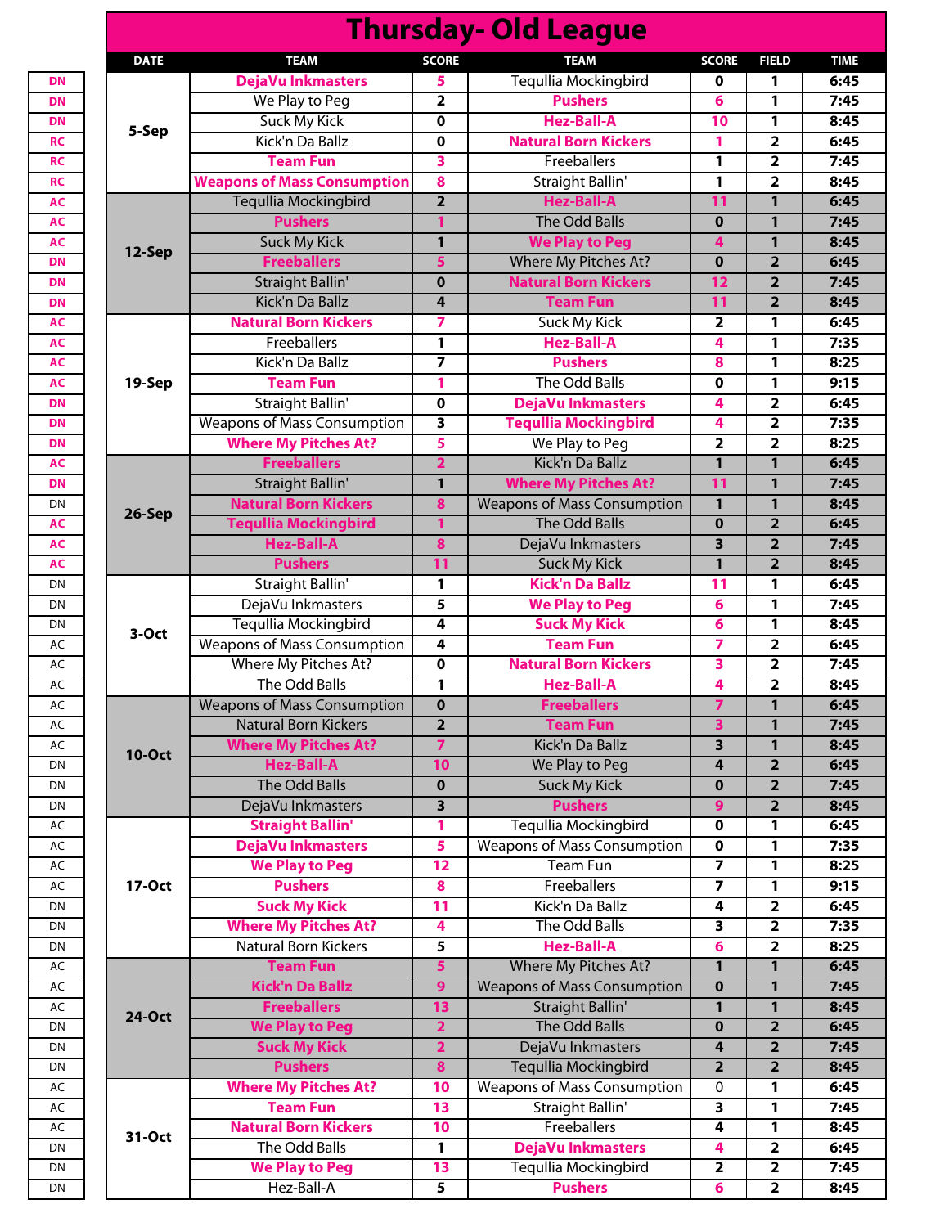|               |                                        |                         | <b>Thursday- Old League</b>               |                |                                                    |                      |
|---------------|----------------------------------------|-------------------------|-------------------------------------------|----------------|----------------------------------------------------|----------------------|
| <b>DATE</b>   | <b>TEAM</b>                            | <b>SCORE</b>            | <b>TEAM</b>                               | <b>SCORE</b>   | <b>FIELD</b>                                       | <b>TIME</b>          |
|               | DejaVu Inkmasters                      | 5.                      | <b>Tequllia Mockingbird</b>               | 0              | 1                                                  | 6:45                 |
|               | We Play to Peg                         | $\overline{\mathbf{2}}$ | <b>Pushers</b>                            | 6              | 1                                                  | 7:45                 |
| 5-Sep         | Suck My Kick                           | $\mathbf 0$             | <b>Hez-Ball-A</b>                         | 10             | 1                                                  | 8:45                 |
|               | Kick'n Da Ballz                        | $\mathbf 0$             | <b>Natural Born Kickers</b>               | 1              | $\overline{\mathbf{2}}$                            | 6:45                 |
|               | <b>Team Fun</b>                        | 3                       | Freeballers                               | 1              | $\overline{\mathbf{2}}$                            | 7:45                 |
|               | <b>Weapons of Mass Consumption</b>     | 8                       | Straight Ballin'                          | 1              | $\overline{\mathbf{2}}$                            | 8:45                 |
|               | <b>Tequllia Mockingbird</b>            | $\overline{2}$          | <b>Hez-Ball-A</b>                         | 11             | $\mathbf{1}$                                       | 6:45                 |
|               | <b>Pushers</b>                         | 1                       | <b>The Odd Balls</b>                      | $\bf{0}$       | $\mathbf{1}$                                       | 7:45                 |
|               | <b>Suck My Kick</b>                    | 1                       | <b>We Play to Peg</b>                     | 4              | 1                                                  | 8:45                 |
| 12-Sep        | <b>Freeballers</b>                     | 5                       | Where My Pitches At?                      | $\mathbf 0$    | $\overline{2}$                                     | 6:45                 |
|               | <b>Straight Ballin'</b>                | $\bf{0}$                | <b>Natural Born Kickers</b>               | 12             | $\overline{2}$                                     | 7:45                 |
|               | Kick'n Da Ballz                        | 4                       | <b>Team Fun</b>                           | 11             | $\overline{2}$                                     | 8:45                 |
|               | <b>Natural Born Kickers</b>            | 7                       | Suck My Kick                              | $\overline{2}$ | 1                                                  | 6:45                 |
|               | Freeballers                            | $\mathbf{1}$            | <b>Hez-Ball-A</b>                         | 4              | 1                                                  | 7:35                 |
|               | Kick'n Da Ballz                        | $\overline{\mathbf{z}}$ | <b>Pushers</b>                            | 8              | 1                                                  | 8:25                 |
| 19-Sep        | <b>Team Fun</b>                        | 1                       | The Odd Balls                             | 0              | 1                                                  | 9:15                 |
|               | <b>Straight Ballin'</b>                | $\mathbf 0$             | <b>DejaVu Inkmasters</b>                  | 4              | $\overline{\mathbf{2}}$                            | 6:45                 |
|               | <b>Weapons of Mass Consumption</b>     | 3                       | <b>Tequllia Mockingbird</b>               | 4              | $\overline{2}$                                     | 7:35                 |
|               | <b>Where My Pitches At?</b>            | 5                       | We Play to Peg                            | $\mathbf{2}$   | $\overline{\mathbf{2}}$                            | 8:25                 |
|               | <b>Freeballers</b>                     | $\overline{\mathbf{2}}$ | Kick'n Da Ballz                           | 1              | 1                                                  | 6:45                 |
|               | <b>Straight Ballin'</b>                | 1                       | <b>Where My Pitches At?</b>               | 11             | 1                                                  | 7:45                 |
|               | <b>Natural Born Kickers</b>            | 8                       | <b>Weapons of Mass Consumption</b>        |                |                                                    | 8:45                 |
| 26-Sep        |                                        |                         | <b>The Odd Balls</b>                      | $\mathbf{1}$   | 1                                                  |                      |
|               | <b>Tequllia Mockingbird</b>            | 1                       |                                           | $\mathbf 0$    | $\overline{2}$                                     | 6:45                 |
|               | <b>Hez-Ball-A</b>                      | 8                       | DejaVu Inkmasters                         | 3              | $\overline{2}$                                     | 7:45                 |
|               | <b>Pushers</b>                         | 11                      | <b>Suck My Kick</b>                       | 1              | $\overline{2}$                                     | 8:45                 |
|               | Straight Ballin'                       | $\mathbf{1}$            | <b>Kick'n Da Ballz</b>                    | 11             | 1                                                  | 6:45                 |
|               | DejaVu Inkmasters                      | 5                       | <b>We Play to Peg</b>                     | 6              | 1                                                  | 7:45                 |
| 3-Oct         | Tegullia Mockingbird                   | 4                       | <b>Suck My Kick</b>                       | 6              | 1                                                  | 8:45                 |
|               | <b>Weapons of Mass Consumption</b>     | 4                       | <b>Team Fun</b>                           | 7              | $\overline{\mathbf{2}}$                            | 6:45                 |
|               | Where My Pitches At?                   | $\pmb{0}$               | <b>Natural Born Kickers</b>               | 3              | $\overline{2}$                                     | 7:45                 |
|               | The Odd Balls                          | 1                       | <b>Hez-Ball-A</b>                         | 4              | $\overline{\mathbf{2}}$                            | 8:45                 |
|               | <b>Weapons of Mass Consumption</b>     | $\bf{0}$                | <b>Freeballers</b>                        | 7              | 1                                                  | 6:45                 |
|               | <b>Natural Born Kickers</b>            | $\overline{2}$          | <b>Team Fun</b>                           | 3              | 1                                                  | 7:45                 |
| <b>10-Oct</b> | <b>Where My Pitches At?</b>            | $\overline{7}$          | Kick'n Da Ballz                           | 3              | 1                                                  | 8:45                 |
|               | <b>Hez-Ball-A</b>                      | 10                      | We Play to Peg                            | 4              | $\overline{2}$                                     | 6:45                 |
|               | The Odd Balls                          | $\mathbf 0$             | <b>Suck My Kick</b>                       | $\bf{0}$       | $\overline{2}$                                     | 7:45                 |
|               | DejaVu Inkmasters                      | 3                       | <b>Pushers</b>                            | 9              | $\overline{2}$                                     | 8:45                 |
|               | <b>Straight Ballin'</b>                | $\mathbf{1}$            | Tequllia Mockingbird                      | 0              | 1                                                  | 6:45                 |
|               | DejaVu Inkmasters                      | 5                       | <b>Weapons of Mass Consumption</b>        | $\mathbf 0$    | 1                                                  | 7:35                 |
|               | <b>We Play to Peg</b>                  | $\overline{12}$         | <b>Team Fun</b>                           | 7              | 1                                                  | 8:25                 |
| 17-Oct        | <b>Pushers</b>                         | 8                       | Freeballers                               | 7              | 1                                                  | 9:15                 |
|               | <b>Suck My Kick</b>                    | 11                      | Kick'n Da Ballz                           | 4              | $\overline{\mathbf{2}}$                            | 6:45                 |
|               | <b>Where My Pitches At?</b>            | 4                       | The Odd Balls                             | 3              | $\overline{\mathbf{2}}$                            | 7:35                 |
|               | <b>Natural Born Kickers</b>            | 5                       | <b>Hez-Ball-A</b>                         | 6              | $\overline{2}$                                     | 8:25                 |
|               | <b>Team Fun</b>                        | $5\phantom{a}$          | Where My Pitches At?                      | 1              | 1                                                  | 6:45                 |
|               | <b>Kick'n Da Ballz</b>                 | 9 <sup>°</sup>          | <b>Weapons of Mass Consumption</b>        | $\bf{0}$       | 1                                                  | 7:45                 |
|               | <b>Freeballers</b>                     | 13                      | <b>Straight Ballin'</b>                   | 1              | 1                                                  | 8:45                 |
| <b>24-Oct</b> | <b>We Play to Peg</b>                  | $\overline{2}$          | The Odd Balls                             | $\mathbf 0$    | $\overline{\mathbf{2}}$                            | 6:45                 |
|               | <b>Suck My Kick</b>                    | $\overline{\mathbf{2}}$ | DejaVu Inkmasters                         | 4              | $\overline{2}$                                     | 7:45                 |
|               | <b>Pushers</b>                         | 8                       | <b>Tequllia Mockingbird</b>               | $\mathbf{2}$   | $\overline{\mathbf{2}}$                            | 8:45                 |
|               | <b>Where My Pitches At?</b>            | 10                      | <b>Weapons of Mass Consumption</b>        | 0              | 1                                                  | 6:45                 |
|               | <b>Team Fun</b>                        | 13                      | <b>Straight Ballin'</b>                   | 3              | 1                                                  | 7:45                 |
|               |                                        |                         |                                           |                |                                                    |                      |
|               |                                        |                         |                                           |                |                                                    |                      |
| 31-Oct        | <b>Natural Born Kickers</b>            | 10                      | Freeballers                               | 4              | 1                                                  |                      |
|               | The Odd Balls<br><b>We Play to Peg</b> | 1<br>13                 | DejaVu Inkmasters<br>Tequllia Mockingbird | 4<br>2         | $\overline{\mathbf{2}}$<br>$\overline{\mathbf{2}}$ | 8:45<br>6:45<br>7:45 |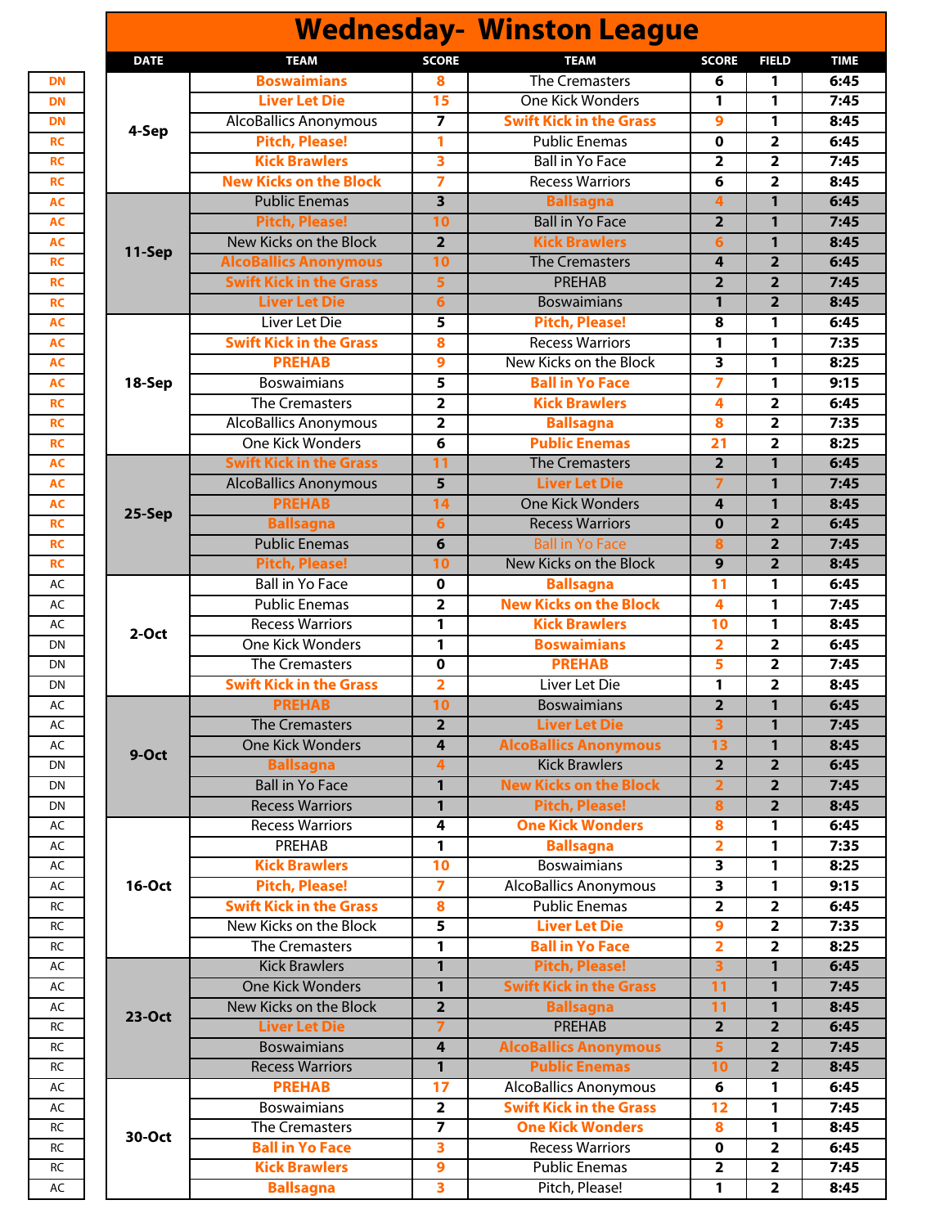| <b>Wednesday- Winston League</b> |                                |                         |                                   |                         |                         |              |  |  |
|----------------------------------|--------------------------------|-------------------------|-----------------------------------|-------------------------|-------------------------|--------------|--|--|
| <b>DATE</b>                      | <b>TEAM</b>                    | <b>SCORE</b>            | <b>TEAM</b>                       | <b>SCORE</b>            | <b>FIELD</b>            | <b>TIME</b>  |  |  |
|                                  | <b>Boswaimians</b>             | 8                       | <b>The Cremasters</b>             | 6                       | 1                       | 6:45         |  |  |
|                                  | <b>Liver Let Die</b>           | 15                      | <b>One Kick Wonders</b>           | 1                       | 1                       | 7:45         |  |  |
|                                  | <b>AlcoBallics Anonymous</b>   | $\overline{7}$          | <b>Swift Kick in the Grass</b>    | 9                       | 1                       | 8:45         |  |  |
| 4-Sep                            | <b>Pitch, Please!</b>          | 1                       | <b>Public Enemas</b>              | $\mathbf 0$             | $\overline{2}$          | 6:45         |  |  |
|                                  | <b>Kick Brawlers</b>           | 3                       | <b>Ball in Yo Face</b>            | $\overline{2}$          | $\overline{2}$          | 7:45         |  |  |
|                                  | <b>New Kicks on the Block</b>  | $\overline{7}$          | <b>Recess Warriors</b>            | 6                       | $\overline{2}$          | 8:45         |  |  |
|                                  | <b>Public Enemas</b>           | 3                       | <b>Ballsagna</b>                  | 4                       | 1                       | 6:45         |  |  |
| 11-Sep                           | <b>Pitch, Please!</b>          | 10                      | <b>Ball in Yo Face</b>            | $\overline{\mathbf{2}}$ | $\mathbf{1}$            | 7:45         |  |  |
|                                  | New Kicks on the Block         | $\overline{2}$          | <b>Kick Brawlers</b>              | 6                       | 1                       | 8:45         |  |  |
|                                  | <b>AlcoBallics Anonymous</b>   | 10                      | <b>The Cremasters</b>             | 4                       | $\overline{2}$          | 6:45         |  |  |
|                                  | <b>Swift Kick in the Grass</b> | 5                       | <b>PREHAB</b>                     | $\overline{2}$          | $\overline{2}$          | 7:45         |  |  |
|                                  | <b>Liver Let Die</b>           | 6                       | <b>Boswaimians</b>                | 1                       | $\overline{2}$          | 8:45         |  |  |
|                                  | Liver Let Die                  | 5                       | <b>Pitch, Please!</b>             | 8                       | 1                       | 6:45         |  |  |
|                                  | <b>Swift Kick in the Grass</b> | 8                       | <b>Recess Warriors</b>            | 1                       | 1                       | 7:35         |  |  |
|                                  | <b>PREHAB</b>                  | $\boldsymbol{9}$        | New Kicks on the Block            | 3                       | 1                       | 8:25         |  |  |
| 18-Sep                           | <b>Boswaimians</b>             | 5                       | <b>Ball in Yo Face</b>            | 7                       | 1                       | 9:15         |  |  |
|                                  | <b>The Cremasters</b>          | $\overline{\mathbf{2}}$ | <b>Kick Brawlers</b>              | 4                       | $\overline{\mathbf{2}}$ | 6:45         |  |  |
|                                  | <b>AlcoBallics Anonymous</b>   | $\overline{\mathbf{2}}$ | <b>Ballsagna</b>                  | 8                       | $\overline{2}$          | 7:35         |  |  |
|                                  | <b>One Kick Wonders</b>        | 6                       | <b>Public Enemas</b>              | $\overline{21}$         | $\overline{\mathbf{2}}$ | 8:25         |  |  |
|                                  | <b>Swift Kick in the Grass</b> | 11                      | <b>The Cremasters</b>             | $\overline{2}$          | $\mathbf{1}$            | 6:45         |  |  |
| 25-Sep                           | <b>AlcoBallics Anonymous</b>   | $\overline{5}$          | <b>Liver Let Die</b>              | $\overline{7}$          | 1                       | 7:45         |  |  |
|                                  | <b>PREHAB</b>                  | 14                      | <b>One Kick Wonders</b>           | 4                       | 1                       | 8:45         |  |  |
|                                  | <b>Ballsagna</b>               | $6\phantom{1}$          | <b>Recess Warriors</b>            | $\mathbf 0$             | $\overline{2}$          | 6:45         |  |  |
|                                  | <b>Public Enemas</b>           | 6                       | <b>Ball in Yo Face</b>            | 8                       | $\overline{2}$          | 7:45         |  |  |
|                                  | <b>Pitch, Please!</b>          | 10                      | New Kicks on the Block            | 9                       | $\overline{2}$          | 8:45         |  |  |
| $2-Oct$                          | <b>Ball in Yo Face</b>         | $\mathbf 0$             | <b>Ballsagna</b>                  | 11                      | 1                       | 6:45         |  |  |
|                                  | <b>Public Enemas</b>           | $\overline{\mathbf{2}}$ | <b>New Kicks on the Block</b>     | 4                       | 1                       | 7:45         |  |  |
|                                  | <b>Recess Warriors</b>         | 1                       | <b>Kick Brawlers</b>              | 10                      | 1                       | 8:45         |  |  |
|                                  | <b>One Kick Wonders</b>        | 1                       | <b>Boswaimians</b>                | $\overline{2}$          | $\overline{2}$          | 6:45         |  |  |
|                                  | <b>The Cremasters</b>          | $\mathbf 0$             | <b>PREHAB</b>                     | 5                       | $\overline{\mathbf{2}}$ | 7:45         |  |  |
|                                  | <b>Swift Kick in the Grass</b> | 2                       | Liver Let Die                     | 1                       | $\overline{\mathbf{2}}$ | 8:45         |  |  |
|                                  | <b>PREHAB</b>                  | 10                      | <b>Boswaimians</b>                | $\overline{2}$          | 1                       | 6:45         |  |  |
|                                  | <b>The Cremasters</b>          | $\overline{2}$          | <b>Liver Let Die</b>              | 3                       | $\mathbf{1}$            | 7:45         |  |  |
|                                  | <b>One Kick Wonders</b>        | 4                       | <b>AlcoBallics Anonymous</b>      | 13                      | 1                       | 8:45         |  |  |
| 9-Oct                            | <b>Ballsagna</b>               | $\overline{\mathbf{4}}$ | <b>Kick Brawlers</b>              | $\overline{2}$          | $\overline{2}$          | 6:45         |  |  |
|                                  | <b>Ball in Yo Face</b>         | 1                       | <b>New Kicks on the Block</b>     | $\overline{2}$          | $\overline{2}$          | 7:45         |  |  |
|                                  | <b>Recess Warriors</b>         | 1                       | <b>Pitch, Please!</b>             | 8                       | $\overline{2}$          | 8:45         |  |  |
|                                  | <b>Recess Warriors</b>         | 4                       | <b>One Kick Wonders</b>           | 8                       | 1                       | 6:45         |  |  |
|                                  | PREHAB                         | $\mathbf{1}$            | <b>Ballsagna</b>                  | $\overline{2}$          | 1                       | 7:35         |  |  |
|                                  | <b>Kick Brawlers</b>           | 10                      | <b>Boswaimians</b>                | 3                       | 1                       | 8:25         |  |  |
| <b>16-Oct</b>                    | <b>Pitch, Please!</b>          | $\overline{7}$          | <b>AlcoBallics Anonymous</b>      | $\overline{\mathbf{3}}$ | $\mathbf{1}$            | 9:15         |  |  |
|                                  | <b>Swift Kick in the Grass</b> | 8                       | <b>Public Enemas</b>              | $\overline{\mathbf{2}}$ | $\overline{\mathbf{2}}$ | 6:45         |  |  |
|                                  | <b>New Kicks on the Block</b>  | 5                       | <b>Liver Let Die</b>              | 9                       | $\overline{\mathbf{2}}$ | 7:35         |  |  |
|                                  | <b>The Cremasters</b>          | 1                       | <b>Ball in Yo Face</b>            | $\overline{2}$          | $\overline{\mathbf{2}}$ | 8:25         |  |  |
|                                  | <b>Kick Brawlers</b>           | 1                       | <b>Pitch, Please!</b>             | $\overline{\mathbf{3}}$ | 1                       | 6:45         |  |  |
|                                  | <b>One Kick Wonders</b>        | 1                       | <b>Swift Kick in the Grass</b>    |                         |                         |              |  |  |
| <b>23-Oct</b>                    | New Kicks on the Block         | $\overline{2}$          |                                   | 11                      | $\mathbf{1}$            | 7:45<br>8:45 |  |  |
|                                  | <b>Liver Let Die</b>           | $\overline{ }$          | <b>Ballsagna</b><br><b>PREHAB</b> | 11                      | $\mathbf{1}$            | 6:45         |  |  |
|                                  |                                |                         |                                   | $\overline{2}$          | $\overline{2}$          |              |  |  |
|                                  | <b>Boswaimians</b>             | 4                       | <b>AlcoBallics Anonymous</b>      | 5                       | $\overline{2}$          | 7:45         |  |  |
|                                  | <b>Recess Warriors</b>         | $\mathbf{1}$            | <b>Public Enemas</b>              | 10                      | $\overline{\mathbf{2}}$ | 8:45         |  |  |
|                                  | <b>PREHAB</b>                  | 17                      | <b>AlcoBallics Anonymous</b>      | 6                       | 1                       | 6:45         |  |  |
|                                  | <b>Boswaimians</b>             | $\mathbf{2}$            | <b>Swift Kick in the Grass</b>    | 12                      | 1                       | 7:45         |  |  |
| 30-Oct                           | The Cremasters                 | $\overline{7}$          | <b>One Kick Wonders</b>           | 8                       | $\mathbf{1}$            | 8:45         |  |  |
|                                  | <b>Ball in Yo Face</b>         | $\overline{\mathbf{3}}$ | <b>Recess Warriors</b>            | $\mathbf 0$             | $\overline{2}$          | 6:45         |  |  |
|                                  | <b>Kick Brawlers</b>           | 9                       | <b>Public Enemas</b>              | $\overline{\mathbf{2}}$ | $\overline{\mathbf{2}}$ | 7:45         |  |  |
|                                  | <b>Ballsagna</b>               | 3                       | Pitch, Please!                    | 1                       | $\overline{\mathbf{2}}$ | 8:45         |  |  |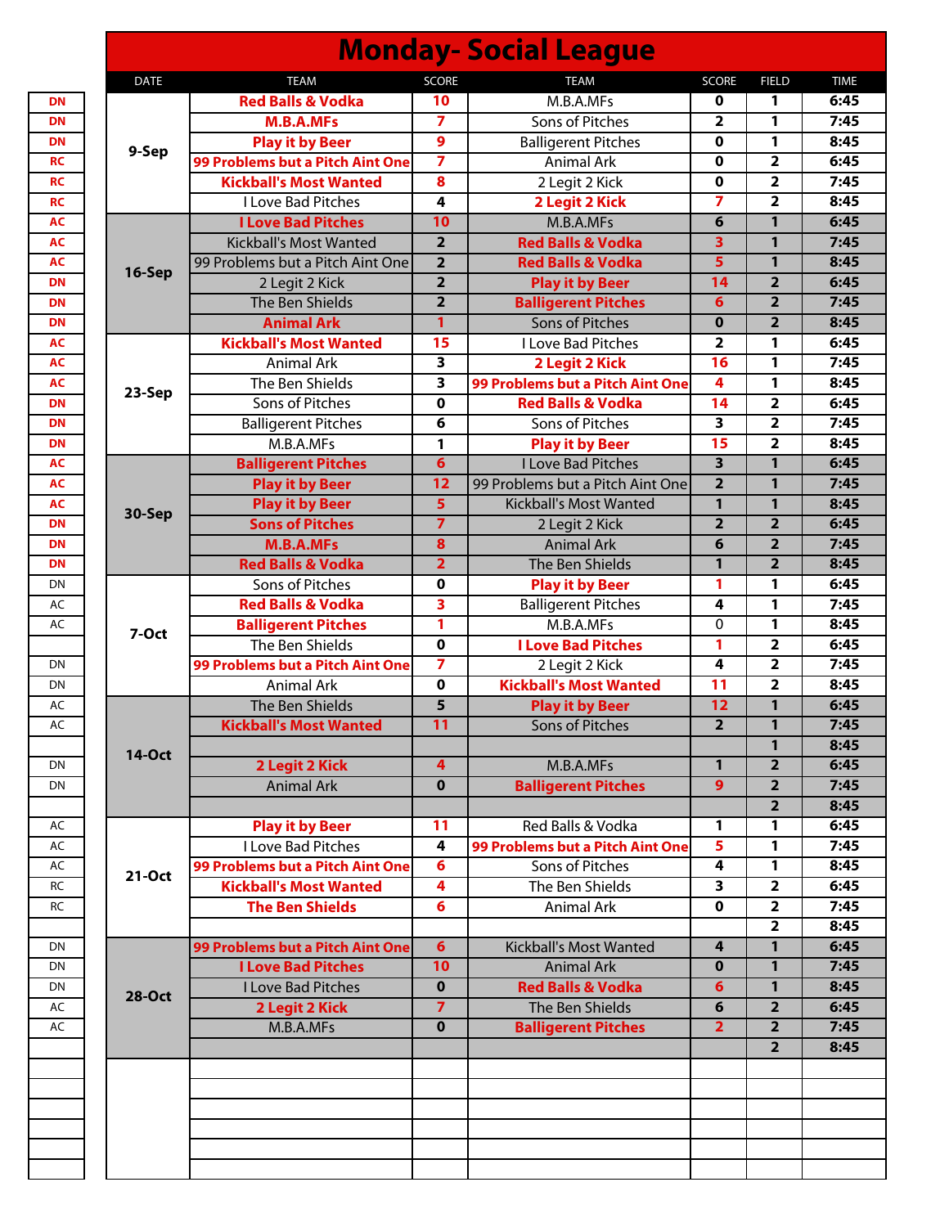| <b>Red Balls &amp; Vodka</b><br>M.B.A.MFs<br>10<br>0<br>M.B.A.MFs<br>$\overline{\mathbf{z}}$<br>Sons of Pitches<br>$\overline{\mathbf{2}}$<br>9<br>$\mathbf 0$<br><b>Play it by Beer</b><br><b>Balligerent Pitches</b><br>9-Sep<br>$\overline{\mathbf{z}}$<br>99 Problems but a Pitch Aint One<br><b>Animal Ark</b><br>$\mathbf 0$<br><b>Kickball's Most Wanted</b><br>8<br>2 Legit 2 Kick<br>$\mathbf 0$<br>$\overline{ }$<br><b>I Love Bad Pitches</b><br>2 Legit 2 Kick<br>4<br>10<br>6<br><b>I Love Bad Pitches</b><br>M.B.A.MFs<br>$\overline{2}$<br>3<br><b>Kickball's Most Wanted</b><br><b>Red Balls &amp; Vodka</b><br>$\overline{5}$<br>99 Problems but a Pitch Aint One<br>$\overline{2}$<br><b>Red Balls &amp; Vodka</b><br>16-Sep<br>$\overline{\mathbf{2}}$<br>14<br>2 Legit 2 Kick<br><b>Play it by Beer</b><br>$\overline{2}$<br>The Ben Shields<br>6<br><b>Balligerent Pitches</b><br><b>Animal Ark</b><br>$\mathbf{1}$<br><b>Sons of Pitches</b><br>$\mathbf 0$<br><b>Kickball's Most Wanted</b><br>15<br>I Love Bad Pitches<br>$\overline{\mathbf{2}}$<br>$\overline{\mathbf{3}}$<br>16<br><b>Animal Ark</b><br>2 Legit 2 Kick<br>The Ben Shields<br>$\overline{\mathbf{3}}$<br>99 Problems but a Pitch Aint One<br>4<br>23-Sep<br>14<br>Sons of Pitches<br>$\mathbf 0$<br><b>Red Balls &amp; Vodka</b><br>$\overline{\mathbf{3}}$<br>6<br><b>Balligerent Pitches</b><br>Sons of Pitches<br>M.B.A.MFs<br>15<br><b>Play it by Beer</b><br>1<br>$6\phantom{1}$<br>3<br><b>I Love Bad Pitches</b><br><b>Balligerent Pitches</b><br>$\overline{2}$<br>$\overline{12}$<br><b>Play it by Beer</b><br>99 Problems but a Pitch Aint One<br>$\overline{\mathbf{5}}$<br>$\mathbf{1}$<br><b>Play it by Beer</b><br><b>Kickball's Most Wanted</b><br>30-Sep<br>$\overline{7}$<br>$\overline{2}$<br><b>Sons of Pitches</b><br>2 Legit 2 Kick<br><b>M.B.A.MFs</b><br><b>Animal Ark</b><br>8<br>6<br>$\overline{\mathbf{1}}$<br><b>Red Balls &amp; Vodka</b><br>$\overline{2}$<br><b>The Ben Shields</b><br>$\mathbf 0$<br>1<br>Sons of Pitches<br><b>Play it by Beer</b><br>$\overline{\mathbf{3}}$<br><b>Red Balls &amp; Vodka</b><br><b>Balligerent Pitches</b><br>4<br>$\mathbf{1}$<br><b>Balligerent Pitches</b><br>M.B.A.MFs<br>0<br>7-Oct<br>$\overline{\mathbf{0}}$<br>1<br>The Ben Shields<br><b>I Love Bad Pitches</b><br>$\overline{\mathbf{z}}$<br>2 Legit 2 Kick<br>4<br>99 Problems but a Pitch Aint One<br><b>Kickball's Most Wanted</b><br>$\mathbf 0$<br>11<br><b>Animal Ark</b><br>$\overline{5}$<br>$\overline{12}$<br>The Ben Shields<br><b>Play it by Beer</b><br><b>Kickball's Most Wanted</b><br>11<br>Sons of Pitches<br>2<br><b>14-Oct</b><br>2 Legit 2 Kick<br>$\overline{\mathbf{4}}$<br>$\mathbf{1}$<br>M.B.A.MFs<br>9<br><b>Animal Ark</b><br>$\mathbf{0}$<br><b>Balligerent Pitches</b><br>Red Balls & Vodka<br><b>Play it by Beer</b><br>11<br>1<br>I Love Bad Pitches<br>5<br>4<br>99 Problems but a Pitch Aint One<br>99 Problems but a Pitch Aint One<br>6<br>Sons of Pitches<br>4<br>21-Oct<br><b>Kickball's Most Wanted</b><br>4<br>The Ben Shields<br>3<br><b>The Ben Shields</b><br>6<br>Animal Ark<br>$\bf{0}$<br>$6\phantom{1}$<br><b>Kickball's Most Wanted</b><br>99 Problems but a Pitch Aint One<br>4<br><b>I Love Bad Pitches</b><br>10<br><b>Animal Ark</b><br>$\bf{0}$<br>$\mathbf 0$<br><b>Red Balls &amp; Vodka</b><br>I Love Bad Pitches<br>6<br><b>28-Oct</b><br>$\overline{7}$<br>2 Legit 2 Kick<br>The Ben Shields<br>6<br>$\mathbf{0}$<br>$\overline{2}$<br>M.B.A.MFs<br><b>Balligerent Pitches</b> | <b>DATE</b> | <b>TEAM</b> | <b>SCORE</b> | <b>TEAM</b> | <b>SCORE</b> | <b>FIELD</b>            |
|---------------------------------------------------------------------------------------------------------------------------------------------------------------------------------------------------------------------------------------------------------------------------------------------------------------------------------------------------------------------------------------------------------------------------------------------------------------------------------------------------------------------------------------------------------------------------------------------------------------------------------------------------------------------------------------------------------------------------------------------------------------------------------------------------------------------------------------------------------------------------------------------------------------------------------------------------------------------------------------------------------------------------------------------------------------------------------------------------------------------------------------------------------------------------------------------------------------------------------------------------------------------------------------------------------------------------------------------------------------------------------------------------------------------------------------------------------------------------------------------------------------------------------------------------------------------------------------------------------------------------------------------------------------------------------------------------------------------------------------------------------------------------------------------------------------------------------------------------------------------------------------------------------------------------------------------------------------------------------------------------------------------------------------------------------------------------------------------------------------------------------------------------------------------------------------------------------------------------------------------------------------------------------------------------------------------------------------------------------------------------------------------------------------------------------------------------------------------------------------------------------------------------------------------------------------------------------------------------------------------------------------------------------------------------------------------------------------------------------------------------------------------------------------------------------------------------------------------------------------------------------------------------------------------------------------------------------------------------------------------------------------------------------------------------------------------------------------------------------------------------------------------------------------------------------------------------------------------------------------------------------------------------------------------------------------------------------------------------------------------------------------------------------------------------------------------------------------------------------------------------------------------------------------------------------------|-------------|-------------|--------------|-------------|--------------|-------------------------|
|                                                                                                                                                                                                                                                                                                                                                                                                                                                                                                                                                                                                                                                                                                                                                                                                                                                                                                                                                                                                                                                                                                                                                                                                                                                                                                                                                                                                                                                                                                                                                                                                                                                                                                                                                                                                                                                                                                                                                                                                                                                                                                                                                                                                                                                                                                                                                                                                                                                                                                                                                                                                                                                                                                                                                                                                                                                                                                                                                                                                                                                                                                                                                                                                                                                                                                                                                                                                                                                                                                                                                               |             |             |              |             |              | 1                       |
|                                                                                                                                                                                                                                                                                                                                                                                                                                                                                                                                                                                                                                                                                                                                                                                                                                                                                                                                                                                                                                                                                                                                                                                                                                                                                                                                                                                                                                                                                                                                                                                                                                                                                                                                                                                                                                                                                                                                                                                                                                                                                                                                                                                                                                                                                                                                                                                                                                                                                                                                                                                                                                                                                                                                                                                                                                                                                                                                                                                                                                                                                                                                                                                                                                                                                                                                                                                                                                                                                                                                                               |             |             |              |             |              | 1                       |
|                                                                                                                                                                                                                                                                                                                                                                                                                                                                                                                                                                                                                                                                                                                                                                                                                                                                                                                                                                                                                                                                                                                                                                                                                                                                                                                                                                                                                                                                                                                                                                                                                                                                                                                                                                                                                                                                                                                                                                                                                                                                                                                                                                                                                                                                                                                                                                                                                                                                                                                                                                                                                                                                                                                                                                                                                                                                                                                                                                                                                                                                                                                                                                                                                                                                                                                                                                                                                                                                                                                                                               |             |             |              |             |              | 1                       |
|                                                                                                                                                                                                                                                                                                                                                                                                                                                                                                                                                                                                                                                                                                                                                                                                                                                                                                                                                                                                                                                                                                                                                                                                                                                                                                                                                                                                                                                                                                                                                                                                                                                                                                                                                                                                                                                                                                                                                                                                                                                                                                                                                                                                                                                                                                                                                                                                                                                                                                                                                                                                                                                                                                                                                                                                                                                                                                                                                                                                                                                                                                                                                                                                                                                                                                                                                                                                                                                                                                                                                               |             |             |              |             |              | $\overline{2}$          |
|                                                                                                                                                                                                                                                                                                                                                                                                                                                                                                                                                                                                                                                                                                                                                                                                                                                                                                                                                                                                                                                                                                                                                                                                                                                                                                                                                                                                                                                                                                                                                                                                                                                                                                                                                                                                                                                                                                                                                                                                                                                                                                                                                                                                                                                                                                                                                                                                                                                                                                                                                                                                                                                                                                                                                                                                                                                                                                                                                                                                                                                                                                                                                                                                                                                                                                                                                                                                                                                                                                                                                               |             |             |              |             |              | $\overline{\mathbf{2}}$ |
|                                                                                                                                                                                                                                                                                                                                                                                                                                                                                                                                                                                                                                                                                                                                                                                                                                                                                                                                                                                                                                                                                                                                                                                                                                                                                                                                                                                                                                                                                                                                                                                                                                                                                                                                                                                                                                                                                                                                                                                                                                                                                                                                                                                                                                                                                                                                                                                                                                                                                                                                                                                                                                                                                                                                                                                                                                                                                                                                                                                                                                                                                                                                                                                                                                                                                                                                                                                                                                                                                                                                                               |             |             |              |             |              | $\overline{2}$          |
|                                                                                                                                                                                                                                                                                                                                                                                                                                                                                                                                                                                                                                                                                                                                                                                                                                                                                                                                                                                                                                                                                                                                                                                                                                                                                                                                                                                                                                                                                                                                                                                                                                                                                                                                                                                                                                                                                                                                                                                                                                                                                                                                                                                                                                                                                                                                                                                                                                                                                                                                                                                                                                                                                                                                                                                                                                                                                                                                                                                                                                                                                                                                                                                                                                                                                                                                                                                                                                                                                                                                                               |             |             |              |             |              | 1                       |
|                                                                                                                                                                                                                                                                                                                                                                                                                                                                                                                                                                                                                                                                                                                                                                                                                                                                                                                                                                                                                                                                                                                                                                                                                                                                                                                                                                                                                                                                                                                                                                                                                                                                                                                                                                                                                                                                                                                                                                                                                                                                                                                                                                                                                                                                                                                                                                                                                                                                                                                                                                                                                                                                                                                                                                                                                                                                                                                                                                                                                                                                                                                                                                                                                                                                                                                                                                                                                                                                                                                                                               |             |             |              |             |              | 1                       |
|                                                                                                                                                                                                                                                                                                                                                                                                                                                                                                                                                                                                                                                                                                                                                                                                                                                                                                                                                                                                                                                                                                                                                                                                                                                                                                                                                                                                                                                                                                                                                                                                                                                                                                                                                                                                                                                                                                                                                                                                                                                                                                                                                                                                                                                                                                                                                                                                                                                                                                                                                                                                                                                                                                                                                                                                                                                                                                                                                                                                                                                                                                                                                                                                                                                                                                                                                                                                                                                                                                                                                               |             |             |              |             |              | 1                       |
|                                                                                                                                                                                                                                                                                                                                                                                                                                                                                                                                                                                                                                                                                                                                                                                                                                                                                                                                                                                                                                                                                                                                                                                                                                                                                                                                                                                                                                                                                                                                                                                                                                                                                                                                                                                                                                                                                                                                                                                                                                                                                                                                                                                                                                                                                                                                                                                                                                                                                                                                                                                                                                                                                                                                                                                                                                                                                                                                                                                                                                                                                                                                                                                                                                                                                                                                                                                                                                                                                                                                                               |             |             |              |             |              | $\overline{2}$          |
|                                                                                                                                                                                                                                                                                                                                                                                                                                                                                                                                                                                                                                                                                                                                                                                                                                                                                                                                                                                                                                                                                                                                                                                                                                                                                                                                                                                                                                                                                                                                                                                                                                                                                                                                                                                                                                                                                                                                                                                                                                                                                                                                                                                                                                                                                                                                                                                                                                                                                                                                                                                                                                                                                                                                                                                                                                                                                                                                                                                                                                                                                                                                                                                                                                                                                                                                                                                                                                                                                                                                                               |             |             |              |             |              | $\overline{2}$          |
|                                                                                                                                                                                                                                                                                                                                                                                                                                                                                                                                                                                                                                                                                                                                                                                                                                                                                                                                                                                                                                                                                                                                                                                                                                                                                                                                                                                                                                                                                                                                                                                                                                                                                                                                                                                                                                                                                                                                                                                                                                                                                                                                                                                                                                                                                                                                                                                                                                                                                                                                                                                                                                                                                                                                                                                                                                                                                                                                                                                                                                                                                                                                                                                                                                                                                                                                                                                                                                                                                                                                                               |             |             |              |             |              | $\overline{2}$          |
|                                                                                                                                                                                                                                                                                                                                                                                                                                                                                                                                                                                                                                                                                                                                                                                                                                                                                                                                                                                                                                                                                                                                                                                                                                                                                                                                                                                                                                                                                                                                                                                                                                                                                                                                                                                                                                                                                                                                                                                                                                                                                                                                                                                                                                                                                                                                                                                                                                                                                                                                                                                                                                                                                                                                                                                                                                                                                                                                                                                                                                                                                                                                                                                                                                                                                                                                                                                                                                                                                                                                                               |             |             |              |             |              | 1                       |
|                                                                                                                                                                                                                                                                                                                                                                                                                                                                                                                                                                                                                                                                                                                                                                                                                                                                                                                                                                                                                                                                                                                                                                                                                                                                                                                                                                                                                                                                                                                                                                                                                                                                                                                                                                                                                                                                                                                                                                                                                                                                                                                                                                                                                                                                                                                                                                                                                                                                                                                                                                                                                                                                                                                                                                                                                                                                                                                                                                                                                                                                                                                                                                                                                                                                                                                                                                                                                                                                                                                                                               |             |             |              |             |              | 1                       |
|                                                                                                                                                                                                                                                                                                                                                                                                                                                                                                                                                                                                                                                                                                                                                                                                                                                                                                                                                                                                                                                                                                                                                                                                                                                                                                                                                                                                                                                                                                                                                                                                                                                                                                                                                                                                                                                                                                                                                                                                                                                                                                                                                                                                                                                                                                                                                                                                                                                                                                                                                                                                                                                                                                                                                                                                                                                                                                                                                                                                                                                                                                                                                                                                                                                                                                                                                                                                                                                                                                                                                               |             |             |              |             |              | 1                       |
|                                                                                                                                                                                                                                                                                                                                                                                                                                                                                                                                                                                                                                                                                                                                                                                                                                                                                                                                                                                                                                                                                                                                                                                                                                                                                                                                                                                                                                                                                                                                                                                                                                                                                                                                                                                                                                                                                                                                                                                                                                                                                                                                                                                                                                                                                                                                                                                                                                                                                                                                                                                                                                                                                                                                                                                                                                                                                                                                                                                                                                                                                                                                                                                                                                                                                                                                                                                                                                                                                                                                                               |             |             |              |             |              | $\overline{\mathbf{2}}$ |
|                                                                                                                                                                                                                                                                                                                                                                                                                                                                                                                                                                                                                                                                                                                                                                                                                                                                                                                                                                                                                                                                                                                                                                                                                                                                                                                                                                                                                                                                                                                                                                                                                                                                                                                                                                                                                                                                                                                                                                                                                                                                                                                                                                                                                                                                                                                                                                                                                                                                                                                                                                                                                                                                                                                                                                                                                                                                                                                                                                                                                                                                                                                                                                                                                                                                                                                                                                                                                                                                                                                                                               |             |             |              |             |              | $\overline{2}$          |
|                                                                                                                                                                                                                                                                                                                                                                                                                                                                                                                                                                                                                                                                                                                                                                                                                                                                                                                                                                                                                                                                                                                                                                                                                                                                                                                                                                                                                                                                                                                                                                                                                                                                                                                                                                                                                                                                                                                                                                                                                                                                                                                                                                                                                                                                                                                                                                                                                                                                                                                                                                                                                                                                                                                                                                                                                                                                                                                                                                                                                                                                                                                                                                                                                                                                                                                                                                                                                                                                                                                                                               |             |             |              |             |              | $\overline{2}$          |
|                                                                                                                                                                                                                                                                                                                                                                                                                                                                                                                                                                                                                                                                                                                                                                                                                                                                                                                                                                                                                                                                                                                                                                                                                                                                                                                                                                                                                                                                                                                                                                                                                                                                                                                                                                                                                                                                                                                                                                                                                                                                                                                                                                                                                                                                                                                                                                                                                                                                                                                                                                                                                                                                                                                                                                                                                                                                                                                                                                                                                                                                                                                                                                                                                                                                                                                                                                                                                                                                                                                                                               |             |             |              |             |              | $\mathbf{1}$            |
|                                                                                                                                                                                                                                                                                                                                                                                                                                                                                                                                                                                                                                                                                                                                                                                                                                                                                                                                                                                                                                                                                                                                                                                                                                                                                                                                                                                                                                                                                                                                                                                                                                                                                                                                                                                                                                                                                                                                                                                                                                                                                                                                                                                                                                                                                                                                                                                                                                                                                                                                                                                                                                                                                                                                                                                                                                                                                                                                                                                                                                                                                                                                                                                                                                                                                                                                                                                                                                                                                                                                                               |             |             |              |             |              | $\mathbf{1}$            |
|                                                                                                                                                                                                                                                                                                                                                                                                                                                                                                                                                                                                                                                                                                                                                                                                                                                                                                                                                                                                                                                                                                                                                                                                                                                                                                                                                                                                                                                                                                                                                                                                                                                                                                                                                                                                                                                                                                                                                                                                                                                                                                                                                                                                                                                                                                                                                                                                                                                                                                                                                                                                                                                                                                                                                                                                                                                                                                                                                                                                                                                                                                                                                                                                                                                                                                                                                                                                                                                                                                                                                               |             |             |              |             |              | 1                       |
|                                                                                                                                                                                                                                                                                                                                                                                                                                                                                                                                                                                                                                                                                                                                                                                                                                                                                                                                                                                                                                                                                                                                                                                                                                                                                                                                                                                                                                                                                                                                                                                                                                                                                                                                                                                                                                                                                                                                                                                                                                                                                                                                                                                                                                                                                                                                                                                                                                                                                                                                                                                                                                                                                                                                                                                                                                                                                                                                                                                                                                                                                                                                                                                                                                                                                                                                                                                                                                                                                                                                                               |             |             |              |             |              | $\overline{2}$          |
|                                                                                                                                                                                                                                                                                                                                                                                                                                                                                                                                                                                                                                                                                                                                                                                                                                                                                                                                                                                                                                                                                                                                                                                                                                                                                                                                                                                                                                                                                                                                                                                                                                                                                                                                                                                                                                                                                                                                                                                                                                                                                                                                                                                                                                                                                                                                                                                                                                                                                                                                                                                                                                                                                                                                                                                                                                                                                                                                                                                                                                                                                                                                                                                                                                                                                                                                                                                                                                                                                                                                                               |             |             |              |             |              | $\overline{2}$          |
|                                                                                                                                                                                                                                                                                                                                                                                                                                                                                                                                                                                                                                                                                                                                                                                                                                                                                                                                                                                                                                                                                                                                                                                                                                                                                                                                                                                                                                                                                                                                                                                                                                                                                                                                                                                                                                                                                                                                                                                                                                                                                                                                                                                                                                                                                                                                                                                                                                                                                                                                                                                                                                                                                                                                                                                                                                                                                                                                                                                                                                                                                                                                                                                                                                                                                                                                                                                                                                                                                                                                                               |             |             |              |             |              | $\overline{2}$          |
|                                                                                                                                                                                                                                                                                                                                                                                                                                                                                                                                                                                                                                                                                                                                                                                                                                                                                                                                                                                                                                                                                                                                                                                                                                                                                                                                                                                                                                                                                                                                                                                                                                                                                                                                                                                                                                                                                                                                                                                                                                                                                                                                                                                                                                                                                                                                                                                                                                                                                                                                                                                                                                                                                                                                                                                                                                                                                                                                                                                                                                                                                                                                                                                                                                                                                                                                                                                                                                                                                                                                                               |             |             |              |             |              | 1                       |
|                                                                                                                                                                                                                                                                                                                                                                                                                                                                                                                                                                                                                                                                                                                                                                                                                                                                                                                                                                                                                                                                                                                                                                                                                                                                                                                                                                                                                                                                                                                                                                                                                                                                                                                                                                                                                                                                                                                                                                                                                                                                                                                                                                                                                                                                                                                                                                                                                                                                                                                                                                                                                                                                                                                                                                                                                                                                                                                                                                                                                                                                                                                                                                                                                                                                                                                                                                                                                                                                                                                                                               |             |             |              |             |              | 1                       |
|                                                                                                                                                                                                                                                                                                                                                                                                                                                                                                                                                                                                                                                                                                                                                                                                                                                                                                                                                                                                                                                                                                                                                                                                                                                                                                                                                                                                                                                                                                                                                                                                                                                                                                                                                                                                                                                                                                                                                                                                                                                                                                                                                                                                                                                                                                                                                                                                                                                                                                                                                                                                                                                                                                                                                                                                                                                                                                                                                                                                                                                                                                                                                                                                                                                                                                                                                                                                                                                                                                                                                               |             |             |              |             |              | 1                       |
|                                                                                                                                                                                                                                                                                                                                                                                                                                                                                                                                                                                                                                                                                                                                                                                                                                                                                                                                                                                                                                                                                                                                                                                                                                                                                                                                                                                                                                                                                                                                                                                                                                                                                                                                                                                                                                                                                                                                                                                                                                                                                                                                                                                                                                                                                                                                                                                                                                                                                                                                                                                                                                                                                                                                                                                                                                                                                                                                                                                                                                                                                                                                                                                                                                                                                                                                                                                                                                                                                                                                                               |             |             |              |             |              | $\overline{2}$          |
|                                                                                                                                                                                                                                                                                                                                                                                                                                                                                                                                                                                                                                                                                                                                                                                                                                                                                                                                                                                                                                                                                                                                                                                                                                                                                                                                                                                                                                                                                                                                                                                                                                                                                                                                                                                                                                                                                                                                                                                                                                                                                                                                                                                                                                                                                                                                                                                                                                                                                                                                                                                                                                                                                                                                                                                                                                                                                                                                                                                                                                                                                                                                                                                                                                                                                                                                                                                                                                                                                                                                                               |             |             |              |             |              | $\overline{2}$          |
|                                                                                                                                                                                                                                                                                                                                                                                                                                                                                                                                                                                                                                                                                                                                                                                                                                                                                                                                                                                                                                                                                                                                                                                                                                                                                                                                                                                                                                                                                                                                                                                                                                                                                                                                                                                                                                                                                                                                                                                                                                                                                                                                                                                                                                                                                                                                                                                                                                                                                                                                                                                                                                                                                                                                                                                                                                                                                                                                                                                                                                                                                                                                                                                                                                                                                                                                                                                                                                                                                                                                                               |             |             |              |             |              | $\overline{2}$          |
|                                                                                                                                                                                                                                                                                                                                                                                                                                                                                                                                                                                                                                                                                                                                                                                                                                                                                                                                                                                                                                                                                                                                                                                                                                                                                                                                                                                                                                                                                                                                                                                                                                                                                                                                                                                                                                                                                                                                                                                                                                                                                                                                                                                                                                                                                                                                                                                                                                                                                                                                                                                                                                                                                                                                                                                                                                                                                                                                                                                                                                                                                                                                                                                                                                                                                                                                                                                                                                                                                                                                                               |             |             |              |             |              | 1                       |
|                                                                                                                                                                                                                                                                                                                                                                                                                                                                                                                                                                                                                                                                                                                                                                                                                                                                                                                                                                                                                                                                                                                                                                                                                                                                                                                                                                                                                                                                                                                                                                                                                                                                                                                                                                                                                                                                                                                                                                                                                                                                                                                                                                                                                                                                                                                                                                                                                                                                                                                                                                                                                                                                                                                                                                                                                                                                                                                                                                                                                                                                                                                                                                                                                                                                                                                                                                                                                                                                                                                                                               |             |             |              |             |              | 1                       |
|                                                                                                                                                                                                                                                                                                                                                                                                                                                                                                                                                                                                                                                                                                                                                                                                                                                                                                                                                                                                                                                                                                                                                                                                                                                                                                                                                                                                                                                                                                                                                                                                                                                                                                                                                                                                                                                                                                                                                                                                                                                                                                                                                                                                                                                                                                                                                                                                                                                                                                                                                                                                                                                                                                                                                                                                                                                                                                                                                                                                                                                                                                                                                                                                                                                                                                                                                                                                                                                                                                                                                               |             |             |              |             |              | 1                       |
|                                                                                                                                                                                                                                                                                                                                                                                                                                                                                                                                                                                                                                                                                                                                                                                                                                                                                                                                                                                                                                                                                                                                                                                                                                                                                                                                                                                                                                                                                                                                                                                                                                                                                                                                                                                                                                                                                                                                                                                                                                                                                                                                                                                                                                                                                                                                                                                                                                                                                                                                                                                                                                                                                                                                                                                                                                                                                                                                                                                                                                                                                                                                                                                                                                                                                                                                                                                                                                                                                                                                                               |             |             |              |             |              | $\overline{2}$          |
|                                                                                                                                                                                                                                                                                                                                                                                                                                                                                                                                                                                                                                                                                                                                                                                                                                                                                                                                                                                                                                                                                                                                                                                                                                                                                                                                                                                                                                                                                                                                                                                                                                                                                                                                                                                                                                                                                                                                                                                                                                                                                                                                                                                                                                                                                                                                                                                                                                                                                                                                                                                                                                                                                                                                                                                                                                                                                                                                                                                                                                                                                                                                                                                                                                                                                                                                                                                                                                                                                                                                                               |             |             |              |             |              | $\overline{2}$          |
|                                                                                                                                                                                                                                                                                                                                                                                                                                                                                                                                                                                                                                                                                                                                                                                                                                                                                                                                                                                                                                                                                                                                                                                                                                                                                                                                                                                                                                                                                                                                                                                                                                                                                                                                                                                                                                                                                                                                                                                                                                                                                                                                                                                                                                                                                                                                                                                                                                                                                                                                                                                                                                                                                                                                                                                                                                                                                                                                                                                                                                                                                                                                                                                                                                                                                                                                                                                                                                                                                                                                                               |             |             |              |             |              | $\overline{2}$          |
|                                                                                                                                                                                                                                                                                                                                                                                                                                                                                                                                                                                                                                                                                                                                                                                                                                                                                                                                                                                                                                                                                                                                                                                                                                                                                                                                                                                                                                                                                                                                                                                                                                                                                                                                                                                                                                                                                                                                                                                                                                                                                                                                                                                                                                                                                                                                                                                                                                                                                                                                                                                                                                                                                                                                                                                                                                                                                                                                                                                                                                                                                                                                                                                                                                                                                                                                                                                                                                                                                                                                                               |             |             |              |             |              | 1                       |
|                                                                                                                                                                                                                                                                                                                                                                                                                                                                                                                                                                                                                                                                                                                                                                                                                                                                                                                                                                                                                                                                                                                                                                                                                                                                                                                                                                                                                                                                                                                                                                                                                                                                                                                                                                                                                                                                                                                                                                                                                                                                                                                                                                                                                                                                                                                                                                                                                                                                                                                                                                                                                                                                                                                                                                                                                                                                                                                                                                                                                                                                                                                                                                                                                                                                                                                                                                                                                                                                                                                                                               |             |             |              |             |              | 1                       |
|                                                                                                                                                                                                                                                                                                                                                                                                                                                                                                                                                                                                                                                                                                                                                                                                                                                                                                                                                                                                                                                                                                                                                                                                                                                                                                                                                                                                                                                                                                                                                                                                                                                                                                                                                                                                                                                                                                                                                                                                                                                                                                                                                                                                                                                                                                                                                                                                                                                                                                                                                                                                                                                                                                                                                                                                                                                                                                                                                                                                                                                                                                                                                                                                                                                                                                                                                                                                                                                                                                                                                               |             |             |              |             |              | 1                       |
|                                                                                                                                                                                                                                                                                                                                                                                                                                                                                                                                                                                                                                                                                                                                                                                                                                                                                                                                                                                                                                                                                                                                                                                                                                                                                                                                                                                                                                                                                                                                                                                                                                                                                                                                                                                                                                                                                                                                                                                                                                                                                                                                                                                                                                                                                                                                                                                                                                                                                                                                                                                                                                                                                                                                                                                                                                                                                                                                                                                                                                                                                                                                                                                                                                                                                                                                                                                                                                                                                                                                                               |             |             |              |             |              | $\overline{\mathbf{2}}$ |
|                                                                                                                                                                                                                                                                                                                                                                                                                                                                                                                                                                                                                                                                                                                                                                                                                                                                                                                                                                                                                                                                                                                                                                                                                                                                                                                                                                                                                                                                                                                                                                                                                                                                                                                                                                                                                                                                                                                                                                                                                                                                                                                                                                                                                                                                                                                                                                                                                                                                                                                                                                                                                                                                                                                                                                                                                                                                                                                                                                                                                                                                                                                                                                                                                                                                                                                                                                                                                                                                                                                                                               |             |             |              |             |              | $\overline{\mathbf{2}}$ |
|                                                                                                                                                                                                                                                                                                                                                                                                                                                                                                                                                                                                                                                                                                                                                                                                                                                                                                                                                                                                                                                                                                                                                                                                                                                                                                                                                                                                                                                                                                                                                                                                                                                                                                                                                                                                                                                                                                                                                                                                                                                                                                                                                                                                                                                                                                                                                                                                                                                                                                                                                                                                                                                                                                                                                                                                                                                                                                                                                                                                                                                                                                                                                                                                                                                                                                                                                                                                                                                                                                                                                               |             |             |              |             |              | $\overline{2}$          |
|                                                                                                                                                                                                                                                                                                                                                                                                                                                                                                                                                                                                                                                                                                                                                                                                                                                                                                                                                                                                                                                                                                                                                                                                                                                                                                                                                                                                                                                                                                                                                                                                                                                                                                                                                                                                                                                                                                                                                                                                                                                                                                                                                                                                                                                                                                                                                                                                                                                                                                                                                                                                                                                                                                                                                                                                                                                                                                                                                                                                                                                                                                                                                                                                                                                                                                                                                                                                                                                                                                                                                               |             |             |              |             |              | $\mathbf{1}$            |
|                                                                                                                                                                                                                                                                                                                                                                                                                                                                                                                                                                                                                                                                                                                                                                                                                                                                                                                                                                                                                                                                                                                                                                                                                                                                                                                                                                                                                                                                                                                                                                                                                                                                                                                                                                                                                                                                                                                                                                                                                                                                                                                                                                                                                                                                                                                                                                                                                                                                                                                                                                                                                                                                                                                                                                                                                                                                                                                                                                                                                                                                                                                                                                                                                                                                                                                                                                                                                                                                                                                                                               |             |             |              |             |              | $\mathbf{1}$            |
|                                                                                                                                                                                                                                                                                                                                                                                                                                                                                                                                                                                                                                                                                                                                                                                                                                                                                                                                                                                                                                                                                                                                                                                                                                                                                                                                                                                                                                                                                                                                                                                                                                                                                                                                                                                                                                                                                                                                                                                                                                                                                                                                                                                                                                                                                                                                                                                                                                                                                                                                                                                                                                                                                                                                                                                                                                                                                                                                                                                                                                                                                                                                                                                                                                                                                                                                                                                                                                                                                                                                                               |             |             |              |             |              | $\mathbf{1}$            |
|                                                                                                                                                                                                                                                                                                                                                                                                                                                                                                                                                                                                                                                                                                                                                                                                                                                                                                                                                                                                                                                                                                                                                                                                                                                                                                                                                                                                                                                                                                                                                                                                                                                                                                                                                                                                                                                                                                                                                                                                                                                                                                                                                                                                                                                                                                                                                                                                                                                                                                                                                                                                                                                                                                                                                                                                                                                                                                                                                                                                                                                                                                                                                                                                                                                                                                                                                                                                                                                                                                                                                               |             |             |              |             |              | $\overline{2}$          |
|                                                                                                                                                                                                                                                                                                                                                                                                                                                                                                                                                                                                                                                                                                                                                                                                                                                                                                                                                                                                                                                                                                                                                                                                                                                                                                                                                                                                                                                                                                                                                                                                                                                                                                                                                                                                                                                                                                                                                                                                                                                                                                                                                                                                                                                                                                                                                                                                                                                                                                                                                                                                                                                                                                                                                                                                                                                                                                                                                                                                                                                                                                                                                                                                                                                                                                                                                                                                                                                                                                                                                               |             |             |              |             |              | $\overline{2}$          |
|                                                                                                                                                                                                                                                                                                                                                                                                                                                                                                                                                                                                                                                                                                                                                                                                                                                                                                                                                                                                                                                                                                                                                                                                                                                                                                                                                                                                                                                                                                                                                                                                                                                                                                                                                                                                                                                                                                                                                                                                                                                                                                                                                                                                                                                                                                                                                                                                                                                                                                                                                                                                                                                                                                                                                                                                                                                                                                                                                                                                                                                                                                                                                                                                                                                                                                                                                                                                                                                                                                                                                               |             |             |              |             |              | $\overline{2}$          |
|                                                                                                                                                                                                                                                                                                                                                                                                                                                                                                                                                                                                                                                                                                                                                                                                                                                                                                                                                                                                                                                                                                                                                                                                                                                                                                                                                                                                                                                                                                                                                                                                                                                                                                                                                                                                                                                                                                                                                                                                                                                                                                                                                                                                                                                                                                                                                                                                                                                                                                                                                                                                                                                                                                                                                                                                                                                                                                                                                                                                                                                                                                                                                                                                                                                                                                                                                                                                                                                                                                                                                               |             |             |              |             |              |                         |
|                                                                                                                                                                                                                                                                                                                                                                                                                                                                                                                                                                                                                                                                                                                                                                                                                                                                                                                                                                                                                                                                                                                                                                                                                                                                                                                                                                                                                                                                                                                                                                                                                                                                                                                                                                                                                                                                                                                                                                                                                                                                                                                                                                                                                                                                                                                                                                                                                                                                                                                                                                                                                                                                                                                                                                                                                                                                                                                                                                                                                                                                                                                                                                                                                                                                                                                                                                                                                                                                                                                                                               |             |             |              |             |              |                         |
|                                                                                                                                                                                                                                                                                                                                                                                                                                                                                                                                                                                                                                                                                                                                                                                                                                                                                                                                                                                                                                                                                                                                                                                                                                                                                                                                                                                                                                                                                                                                                                                                                                                                                                                                                                                                                                                                                                                                                                                                                                                                                                                                                                                                                                                                                                                                                                                                                                                                                                                                                                                                                                                                                                                                                                                                                                                                                                                                                                                                                                                                                                                                                                                                                                                                                                                                                                                                                                                                                                                                                               |             |             |              |             |              |                         |
|                                                                                                                                                                                                                                                                                                                                                                                                                                                                                                                                                                                                                                                                                                                                                                                                                                                                                                                                                                                                                                                                                                                                                                                                                                                                                                                                                                                                                                                                                                                                                                                                                                                                                                                                                                                                                                                                                                                                                                                                                                                                                                                                                                                                                                                                                                                                                                                                                                                                                                                                                                                                                                                                                                                                                                                                                                                                                                                                                                                                                                                                                                                                                                                                                                                                                                                                                                                                                                                                                                                                                               |             |             |              |             |              |                         |
|                                                                                                                                                                                                                                                                                                                                                                                                                                                                                                                                                                                                                                                                                                                                                                                                                                                                                                                                                                                                                                                                                                                                                                                                                                                                                                                                                                                                                                                                                                                                                                                                                                                                                                                                                                                                                                                                                                                                                                                                                                                                                                                                                                                                                                                                                                                                                                                                                                                                                                                                                                                                                                                                                                                                                                                                                                                                                                                                                                                                                                                                                                                                                                                                                                                                                                                                                                                                                                                                                                                                                               |             |             |              |             |              |                         |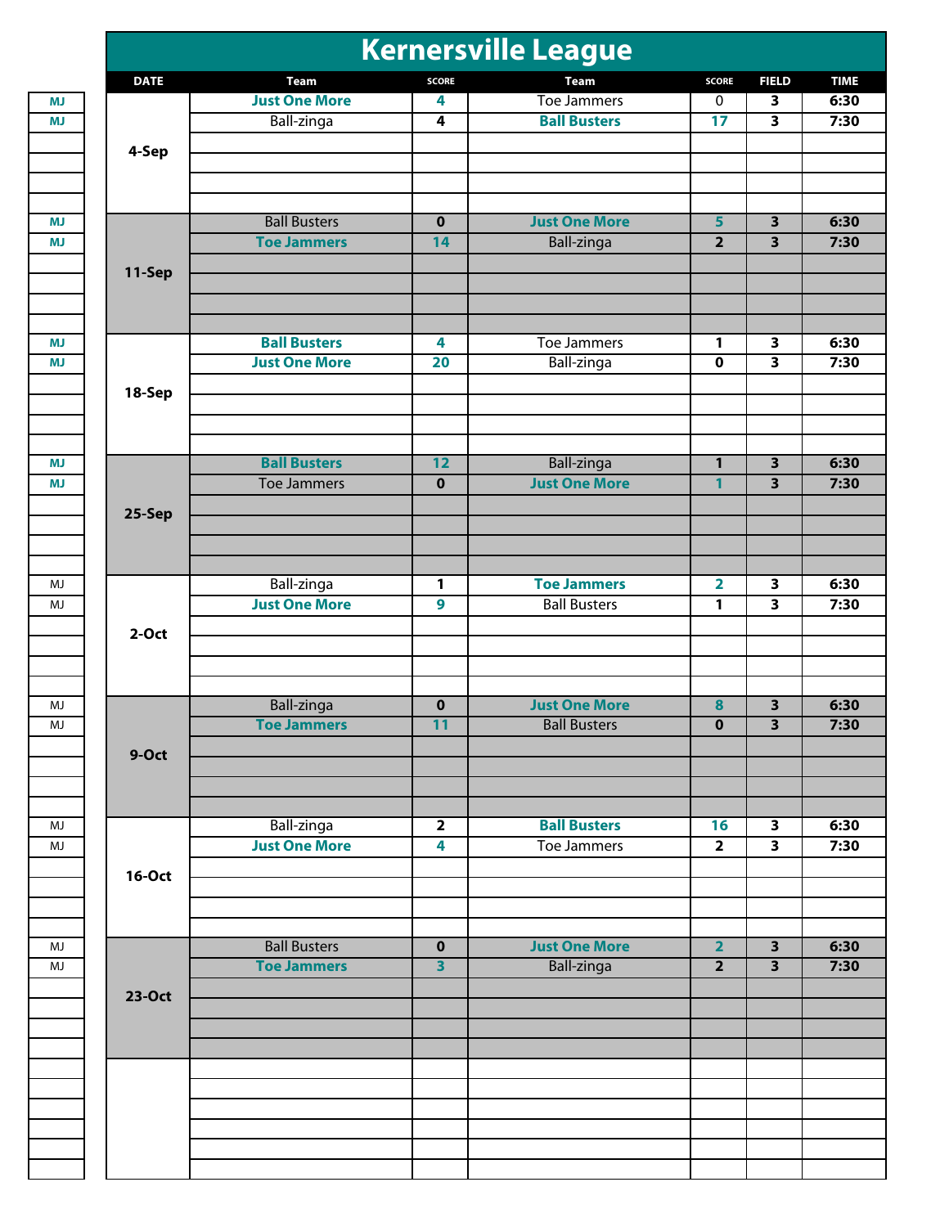|               |                      |                         | <b>Kernersville League</b> |                         |                         |      |
|---------------|----------------------|-------------------------|----------------------------|-------------------------|-------------------------|------|
| <b>DATE</b>   | <b>Team</b>          | <b>SCORE</b>            | <b>Team</b>                | <b>SCORE</b>            | <b>FIELD</b>            | 6:30 |
|               | <b>Just One More</b> | 4                       | <b>Toe Jammers</b>         | $\pmb{0}$               | 3                       |      |
|               | Ball-zinga           | 4                       | <b>Ball Busters</b>        | 17                      | 3                       |      |
|               |                      |                         |                            |                         |                         |      |
| 4-Sep         |                      |                         |                            |                         |                         |      |
|               |                      |                         |                            |                         |                         |      |
|               |                      |                         |                            |                         |                         |      |
|               | <b>Ball Busters</b>  | $\overline{\mathbf{0}}$ | <b>Just One More</b>       | 5                       | $\overline{\mathbf{3}}$ |      |
|               | <b>Toe Jammers</b>   | 14                      | <b>Ball-zinga</b>          | $\overline{2}$          | $\overline{\mathbf{3}}$ |      |
| 11-Sep        |                      |                         |                            |                         |                         |      |
|               |                      |                         |                            |                         |                         |      |
|               |                      |                         |                            |                         |                         |      |
|               |                      |                         |                            |                         |                         |      |
|               | <b>Ball Busters</b>  | 4                       | <b>Toe Jammers</b>         | 1                       | 3                       |      |
|               | <b>Just One More</b> | 20                      | Ball-zinga                 | $\overline{\mathbf{0}}$ | $\overline{\mathbf{3}}$ |      |
| 18-Sep        |                      |                         |                            |                         |                         |      |
|               |                      |                         |                            |                         |                         |      |
|               |                      |                         |                            |                         |                         |      |
|               |                      |                         |                            |                         |                         |      |
|               | <b>Ball Busters</b>  | $\overline{12}$         | Ball-zinga                 | $\mathbf{1}$            | $\overline{\mathbf{3}}$ |      |
|               | <b>Toe Jammers</b>   | $\bf{0}$                | <b>Just One More</b>       | 1                       | $\overline{\mathbf{3}}$ |      |
| 25-Sep        |                      |                         |                            |                         |                         |      |
|               |                      |                         |                            |                         |                         |      |
|               |                      |                         |                            |                         |                         |      |
|               | <b>Ball-zinga</b>    | 1                       | <b>Toe Jammers</b>         | $\overline{\mathbf{2}}$ | 3                       |      |
|               | <b>Just One More</b> | 9                       | <b>Ball Busters</b>        | 1                       | $\overline{\mathbf{3}}$ |      |
|               |                      |                         |                            |                         |                         |      |
| $2-Oct$       |                      |                         |                            |                         |                         |      |
|               |                      |                         |                            |                         |                         |      |
|               |                      |                         |                            |                         |                         |      |
|               | Ball-zinga           | $\pmb{0}$               | <b>Just One More</b>       | 8                       | 3                       |      |
|               | <b>Toe Jammers</b>   | $\overline{11}$         | <b>Ball Busters</b>        | U                       | $\overline{\mathbf{3}}$ |      |
| 9-Oct         |                      |                         |                            |                         |                         |      |
|               |                      |                         |                            |                         |                         |      |
|               |                      |                         |                            |                         |                         |      |
|               |                      |                         |                            |                         |                         |      |
|               | <b>Ball-zinga</b>    | $\overline{2}$          | <b>Ball Busters</b>        | 16                      | $\overline{\mathbf{3}}$ |      |
|               | <b>Just One More</b> | $\overline{\mathbf{4}}$ | <b>Toe Jammers</b>         | $\overline{\mathbf{2}}$ | 3                       |      |
| <b>16-Oct</b> |                      |                         |                            |                         |                         |      |
|               |                      |                         |                            |                         |                         |      |
|               |                      |                         |                            |                         |                         |      |
|               | <b>Ball Busters</b>  | $\overline{\mathbf{0}}$ | <b>Just One More</b>       | $\overline{2}$          | $\overline{\mathbf{3}}$ |      |
|               | <b>Toe Jammers</b>   | $\overline{\mathbf{3}}$ |                            | $\overline{\mathbf{2}}$ | $\overline{\mathbf{3}}$ |      |
|               |                      |                         | Ball-zinga                 |                         |                         |      |
| 23-Oct        |                      |                         |                            |                         |                         |      |
|               |                      |                         |                            |                         |                         |      |
|               |                      |                         |                            |                         |                         |      |
|               |                      |                         |                            |                         |                         |      |
|               |                      |                         |                            |                         |                         |      |
|               |                      |                         |                            |                         |                         |      |
|               |                      |                         |                            |                         |                         |      |
|               |                      |                         |                            |                         |                         |      |
|               |                      |                         |                            |                         |                         |      |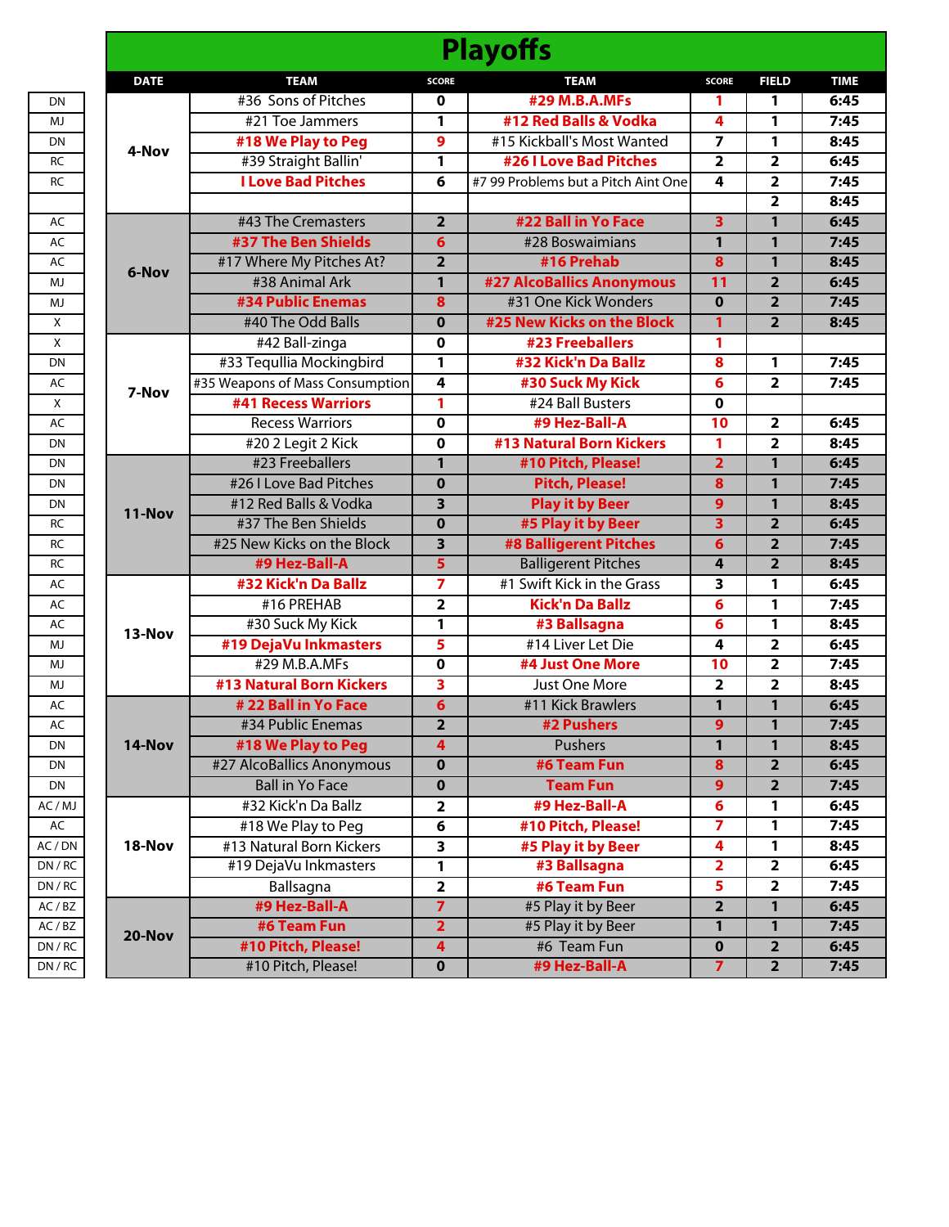|                                                                           | <b>Playoffs</b>                 |                         |                                     |                         |                         |             |  |
|---------------------------------------------------------------------------|---------------------------------|-------------------------|-------------------------------------|-------------------------|-------------------------|-------------|--|
| <b>DATE</b>                                                               | <b>TEAM</b>                     | <b>SCORE</b>            | <b>TEAM</b>                         | <b>SCORE</b>            | <b>FIELD</b>            | <b>TIME</b> |  |
|                                                                           | #36 Sons of Pitches             | 0                       | #29 M.B.A.MFs                       | 1                       | 1                       | 6:45        |  |
|                                                                           | #21 Toe Jammers                 | 1                       | #12 Red Balls & Vodka               | 4                       | 1                       | 7:45        |  |
|                                                                           | #18 We Play to Peg              | 9                       | #15 Kickball's Most Wanted          | 7                       | 1                       | 8:45        |  |
| 4-Nov<br>6-Nov<br>7-Nov<br>11-Nov<br>13-Nov<br>14-Nov<br>18-Nov<br>20-Nov | #39 Straight Ballin'            | 1                       | <b>#26 I Love Bad Pitches</b>       | $\overline{2}$          | $\overline{2}$          | 6:45        |  |
|                                                                           | <b>I Love Bad Pitches</b>       | 6                       | #7 99 Problems but a Pitch Aint One | 4                       | 2                       | 7:45        |  |
|                                                                           |                                 |                         |                                     |                         | $\overline{2}$          | 8:45        |  |
|                                                                           | #43 The Cremasters              | $\overline{2}$          | #22 Ball in Yo Face                 | $\overline{\mathbf{3}}$ | $\mathbf{1}$            | 6:45        |  |
|                                                                           | #37 The Ben Shields             | 6                       | #28 Boswaimians                     | 1                       | 1                       | 7:45        |  |
|                                                                           | #17 Where My Pitches At?        | $\overline{\mathbf{2}}$ | #16 Prehab                          | $\overline{\mathbf{8}}$ | 1                       | 8:45        |  |
|                                                                           | #38 Animal Ark                  | $\mathbf{1}$            | <b>#27 AlcoBallics Anonymous</b>    | 11                      | $\overline{2}$          | 6:45        |  |
|                                                                           | <b>#34 Public Enemas</b>        | 8                       | #31 One Kick Wonders                | $\mathbf 0$             | $\overline{\mathbf{2}}$ | 7:45        |  |
|                                                                           | #40 The Odd Balls               | $\bf{0}$                | #25 New Kicks on the Block          | 1                       | $\overline{2}$          | 8:45        |  |
|                                                                           | #42 Ball-zinga                  | 0                       | #23 Freeballers                     | 1                       |                         |             |  |
|                                                                           | #33 Tequllia Mockingbird        | 1                       | #32 Kick'n Da Ballz                 | 8                       | 1                       | 7:45        |  |
|                                                                           | #35 Weapons of Mass Consumption | 4                       | #30 Suck My Kick                    | 6                       | 2                       | 7:45        |  |
|                                                                           | <b>#41 Recess Warriors</b>      | 1                       | #24 Ball Busters                    | $\mathbf 0$             |                         |             |  |
|                                                                           | <b>Recess Warriors</b>          | 0                       | #9 Hez-Ball-A                       | 10                      | $\overline{\mathbf{2}}$ | 6:45        |  |
|                                                                           | #202 Legit 2 Kick               | 0                       | <b>#13 Natural Born Kickers</b>     | 1                       | $\overline{2}$          | 8:45        |  |
|                                                                           | #23 Freeballers                 | $\mathbf{1}$            | #10 Pitch, Please!                  | $\overline{2}$          | $\mathbf{1}$            | 6:45        |  |
|                                                                           | #26 I Love Bad Pitches          | $\bf{0}$                | <b>Pitch, Please!</b>               | 8                       | $\mathbf{1}$            | 7:45        |  |
|                                                                           | #12 Red Balls & Vodka           | 3                       | <b>Play it by Beer</b>              | $\overline{9}$          | 1                       | 8:45        |  |
|                                                                           | #37 The Ben Shields             | $\mathbf 0$             | #5 Play it by Beer                  | $\overline{\mathbf{3}}$ | $\overline{2}$          | 6:45        |  |
|                                                                           | #25 New Kicks on the Block      | 3                       | <b>#8 Balligerent Pitches</b>       | $\overline{6}$          | $\overline{\mathbf{2}}$ | 7:45        |  |
|                                                                           | #9 Hez-Ball-A                   | 5                       | <b>Balligerent Pitches</b>          | 4                       | $\overline{2}$          | 8:45        |  |
|                                                                           | #32 Kick'n Da Ballz             | 7                       | #1 Swift Kick in the Grass          | 3                       | 1                       | 6:45        |  |
|                                                                           | #16 PREHAB                      | $\overline{\mathbf{2}}$ | <b>Kick'n Da Ballz</b>              | 6                       | 1                       | 7:45        |  |
|                                                                           | #30 Suck My Kick                | 1                       | #3 Ballsagna                        | 6                       | 1                       | 8:45        |  |
|                                                                           | #19 DejaVu Inkmasters           | 5                       | #14 Liver Let Die                   | 4                       | 2                       | 6:45        |  |
|                                                                           | #29 M.B.A.MFs                   | 0                       | #4 Just One More                    | 10                      | $\overline{2}$          | 7:45        |  |
|                                                                           | <b>#13 Natural Born Kickers</b> | 3                       | Just One More                       | $\overline{2}$          | 2                       | 8:45        |  |
|                                                                           | # 22 Ball in Yo Face            | $\overline{6}$          | #11 Kick Brawlers                   | $\mathbf{1}$            | $\mathbf{1}$            | 6:45        |  |
|                                                                           | #34 Public Enemas               | 2                       | #2 Pushers                          | 9                       | 1                       | 7:45        |  |
|                                                                           | #18 We Play to Peg              | 4                       | Pushers                             | $\mathbf{1}$            | $\mathbf{1}$            | 8:45        |  |
|                                                                           | #27 AlcoBallics Anonymous       | $\mathbf 0$             | #6 Team Fun                         | $\overline{\mathbf{8}}$ | $\overline{2}$          | 6:45        |  |
|                                                                           | <b>Ball in Yo Face</b>          | $\mathbf 0$             | <b>Team Fun</b>                     | $\overline{9}$          | $\overline{\mathbf{2}}$ | 7:45        |  |
|                                                                           | #32 Kick'n Da Ballz             | 2                       | #9 Hez-Ball-A                       | 6                       | 1                       | 6:45        |  |
|                                                                           | #18 We Play to Peg              | 6                       | #10 Pitch, Please!                  | $\overline{\mathbf{7}}$ | 1                       | 7:45        |  |
|                                                                           | #13 Natural Born Kickers        | 3                       | #5 Play it by Beer                  | 4                       | 1                       | 8:45        |  |
|                                                                           | #19 DejaVu Inkmasters           | 1                       | #3 Ballsagna                        | $\overline{\mathbf{2}}$ | $\overline{\mathbf{2}}$ | 6:45        |  |
|                                                                           | Ballsagna                       | 2                       | #6 Team Fun                         | 5                       | $\overline{\mathbf{2}}$ | 7:45        |  |
|                                                                           | #9 Hez-Ball-A                   | $\overline{7}$          | #5 Play it by Beer                  | $\overline{\mathbf{2}}$ | 1                       | 6:45        |  |
|                                                                           | #6 Team Fun                     | $\overline{\mathbf{2}}$ | #5 Play it by Beer                  | $\mathbf{1}$            | $\mathbf{1}$            | 7:45        |  |
|                                                                           | #10 Pitch, Please!              | $\overline{\mathbf{4}}$ | #6 Team Fun                         | $\mathbf 0$             | $\overline{2}$          | 6:45        |  |
|                                                                           | #10 Pitch, Please!              | 0                       | #9 Hez-Ball-A                       | $\overline{7}$          | $\overline{\mathbf{2}}$ | 7:45        |  |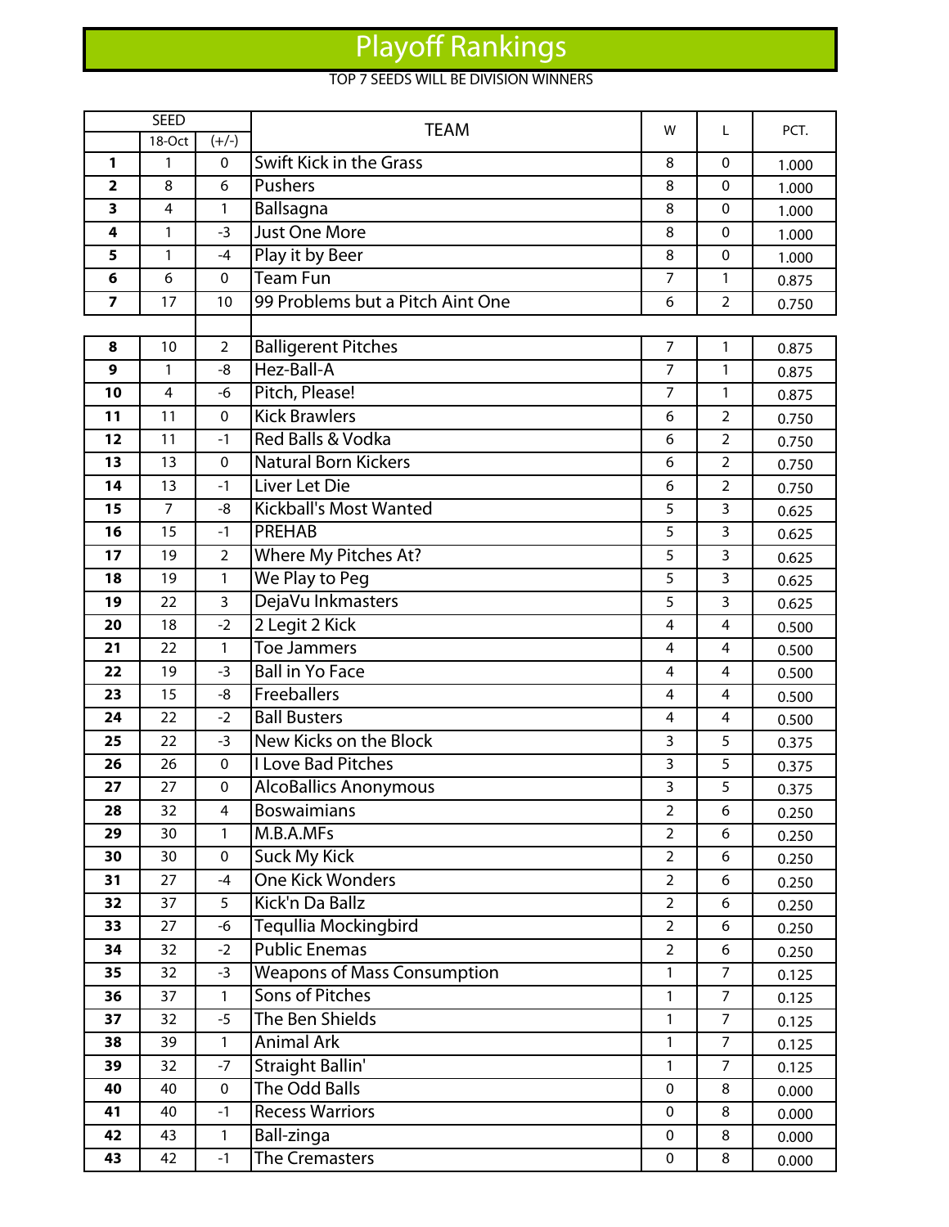## Playoff Rankings

## TOP 7 SEEDS WILL BE DIVISION WINNERS

|                         | <b>SEED</b> |                | <b>TEAM</b>                        | w              | L              | PCT.  |
|-------------------------|-------------|----------------|------------------------------------|----------------|----------------|-------|
|                         | 18-Oct      | $(+/-)$        |                                    |                |                |       |
| 1                       | 1           | $\pmb{0}$      | <b>Swift Kick in the Grass</b>     | 8              | $\mathbf 0$    | 1.000 |
| $\overline{\mathbf{2}}$ | 8           | 6              | Pushers                            |                | 0              | 1.000 |
| 3                       | 4           | $\mathbf{1}$   | Ballsagna                          | 8              | $\mathbf 0$    | 1.000 |
| 4                       | 1           | $-3$           | <b>Just One More</b>               | 8              | $\pmb{0}$      | 1.000 |
| 5                       | 1           | $-4$           | Play it by Beer                    | 8              | $\mathbf 0$    | 1.000 |
| 6                       | 6           | $\pmb{0}$      | <b>Team Fun</b>                    | $\overline{7}$ | 1              | 0.875 |
| $\overline{\mathbf{z}}$ | 17          | 10             | 99 Problems but a Pitch Aint One   | 6              | $\overline{2}$ | 0.750 |
|                         |             |                |                                    |                |                |       |
| 8                       | 10          | $\overline{2}$ | <b>Balligerent Pitches</b>         | $\overline{7}$ | $\mathbf{1}$   | 0.875 |
| 9                       | 1           | -8             | Hez-Ball-A                         | 7              | $\mathbf{1}$   | 0.875 |
| 10                      | 4           | $-6$           | Pitch, Please!                     | $\overline{7}$ | 1              | 0.875 |
| 11                      | 11          | 0              | <b>Kick Brawlers</b>               | 6              | $\overline{2}$ | 0.750 |
| 12                      | 11          | $-1$           | Red Balls & Vodka                  | 6              | $\overline{2}$ | 0.750 |
| 13                      | 13          | 0              | <b>Natural Born Kickers</b>        | 6              | $\overline{2}$ | 0.750 |
| 14                      | 13          | $-1$           | <b>Liver Let Die</b>               | 6              | $\overline{2}$ | 0.750 |
| 15                      | 7           | -8             | <b>Kickball's Most Wanted</b>      | 5              | 3              | 0.625 |
| 16                      | 15          | $-1$           | <b>PREHAB</b>                      | 5              | 3              | 0.625 |
| 17                      | 19          | $\overline{2}$ | Where My Pitches At?               | 5              | 3              | 0.625 |
| 18                      | 19          | 1              | We Play to Peg                     | 5              | 3              | 0.625 |
| 19                      | 22          | 3              | DejaVu Inkmasters                  | 5              | 3              | 0.625 |
| 20                      | 18          | $-2$           | 2 Legit 2 Kick                     | 4              | 4              | 0.500 |
| 21                      | 22          | 1              | <b>Toe Jammers</b>                 | 4              | 4              | 0.500 |
| 22                      | 19          | $-3$           | <b>Ball in Yo Face</b>             | 4              | 4              | 0.500 |
| 23                      | 15          | $-8$           | Freeballers                        | 4              | 4              | 0.500 |
| 24                      | 22          | $-2$           | <b>Ball Busters</b>                | 4              | 4              | 0.500 |
| 25                      | 22          | $-3$           | New Kicks on the Block             | 3              | 5              | 0.375 |
| 26                      | 26          | $\pmb{0}$      | <b>I Love Bad Pitches</b>          | 3              | 5              | 0.375 |
| 27                      | 27          | $\mathbf 0$    | <b>AlcoBallics Anonymous</b>       | 3              | 5              | 0.375 |
| 28                      | 32          | 4              | <b>Boswaimians</b>                 | $\overline{2}$ | 6              | 0.250 |
| 29                      | 30          | 1              | M.B.A.MFs                          | $\overline{2}$ | 6              | 0.250 |
| 30                      | 30          | 0              | <b>Suck My Kick</b>                | $\overline{a}$ | 6              | 0.250 |
| 31                      | 27          | $-4$           | <b>One Kick Wonders</b>            | $\overline{2}$ | 6              | 0.250 |
| 32                      | 37          | 5              | Kick'n Da Ballz                    | $\overline{a}$ | 6              | 0.250 |
| 33                      | 27          | $-6$           | Tequllia Mockingbird               | $\overline{a}$ | 6              | 0.250 |
| 34                      | 32          | $-2$           | <b>Public Enemas</b>               | $\overline{a}$ | 6              | 0.250 |
| 35                      | 32          | $-3$           | <b>Weapons of Mass Consumption</b> | 1              | $\overline{7}$ | 0.125 |
| 36                      | 37          | $\mathbf{1}$   | Sons of Pitches                    | $\mathbf{1}$   | $\overline{7}$ | 0.125 |
| 37                      | 32          | $-5$           | The Ben Shields                    | 1              | $\overline{7}$ | 0.125 |
| 38                      | 39          | $\mathbf{1}$   | <b>Animal Ark</b>                  | $\mathbf{1}$   | $\overline{7}$ | 0.125 |
| 39                      | 32          | $-7$           | <b>Straight Ballin'</b>            | $\mathbf{1}$   | $\overline{7}$ | 0.125 |
| 40                      | 40          | 0              | <b>The Odd Balls</b>               | 0              | 8              | 0.000 |
| 41                      | 40          | $-1$           | <b>Recess Warriors</b>             | 0              | 8              | 0.000 |
| 42                      | 43          | $\mathbf{1}$   | Ball-zinga                         | $\mathbf 0$    | 8              | 0.000 |
| 43                      | 42          | $-1$           | <b>The Cremasters</b>              | $\mathbf 0$    | 8              | 0.000 |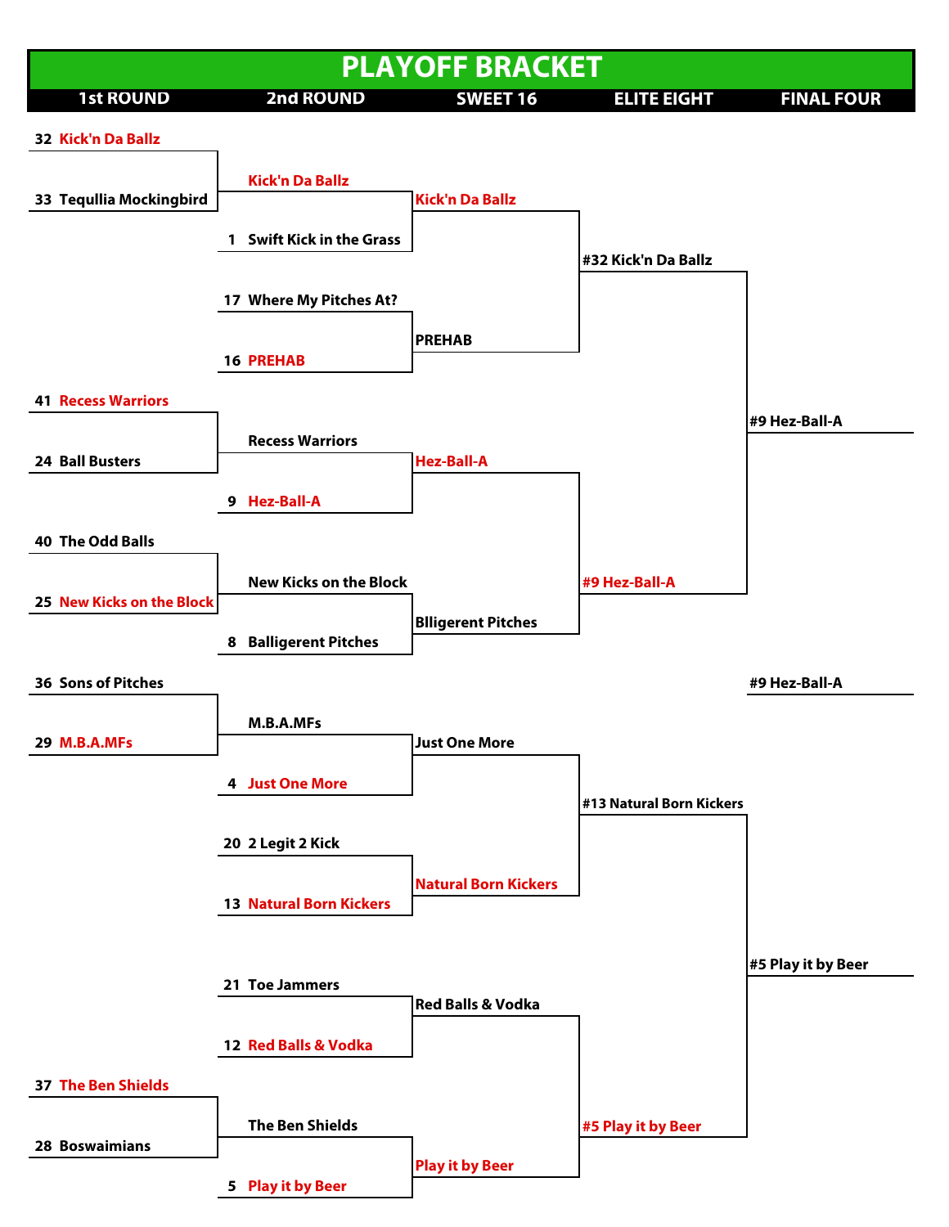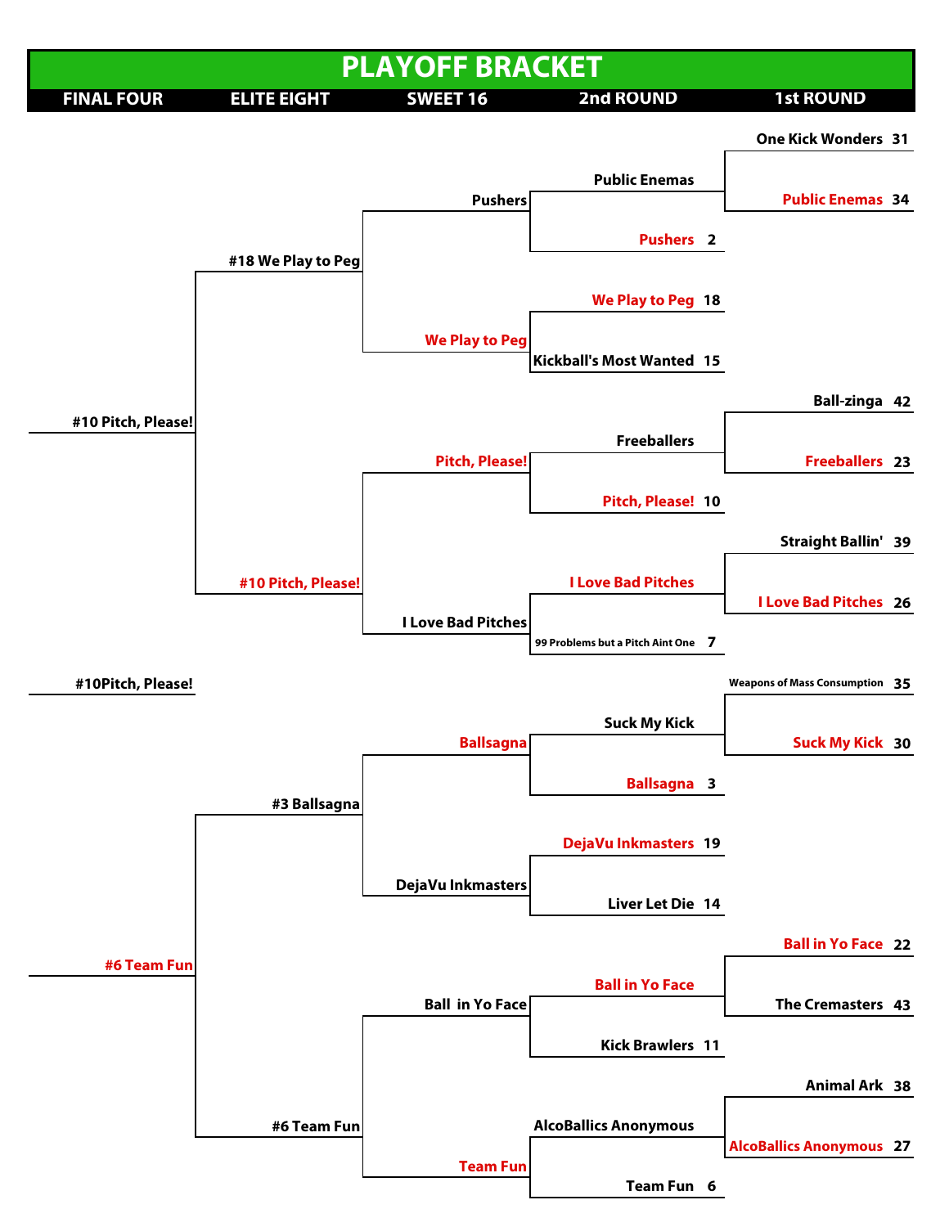